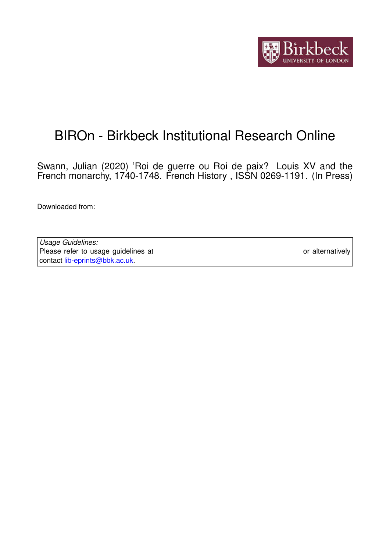

# BIROn - Birkbeck Institutional Research Online

Swann, Julian (2020) 'Roi de guerre ou Roi de paix? Louis XV and the French monarchy, 1740-1748. French History , ISSN 0269-1191. (In Press)

Downloaded from: <https://eprints.bbk.ac.uk/id/eprint/31532/>

*Usage Guidelines:* Please refer to usage guidelines at <https://eprints.bbk.ac.uk/policies.html> or alternatively contact [lib-eprints@bbk.ac.uk.](mailto:lib-eprints@bbk.ac.uk)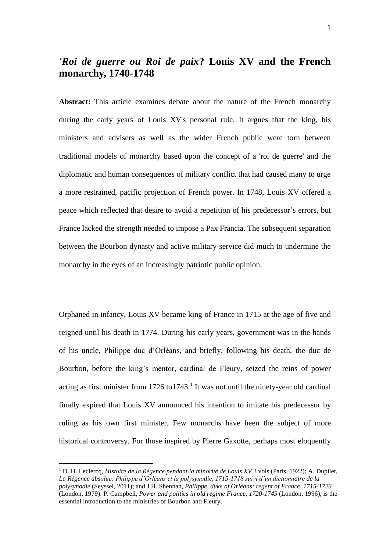# *'Roi de guerre ou Roi de paix***? Louis XV and the French monarchy, 1740-1748**

**Abstract:** This article examines debate about the nature of the French monarchy during the early years of Louis XV's personal rule. It argues that the king, his ministers and advisers as well as the wider French public were torn between traditional models of monarchy based upon the concept of a 'roi de guerre' and the diplomatic and human consequences of military conflict that had caused many to urge a more restrained, pacific projection of French power. In 1748, Louis XV offered a peace which reflected that desire to avoid a repetition of his predecessor's errors, but France lacked the strength needed to impose a Pax Francia. The subsequent separation between the Bourbon dynasty and active military service did much to undermine the monarchy in the eyes of an increasingly patriotic public opinion.

Orphaned in infancy, Louis XV became king of France in 1715 at the age of five and reigned until his death in 1774. During his early years, government was in the hands of his uncle, Philippe duc d'Orléans, and briefly, following his death, the duc de Bourbon, before the king's mentor, cardinal de Fleury, seized the reins of power acting as first minister from  $1726$  to $1743$ .<sup>1</sup> It was not until the ninety-year old cardinal finally expired that Louis XV announced his intention to imitate his predecessor by ruling as his own first minister. Few monarchs have been the subject of more historical controversy. For those inspired by Pierre Gaxotte, perhaps most eloquently

<sup>1</sup> D. H. Leclercq, *Histoire de la Régence pendant la minorité de Louis XV* 3 vols (Paris, 1922); A. Dupilet, *La Régence absolue: Philippe d'Orléans et la polysynodie, 1715-1718 suivi d'un dictionnaire de la polysynodie* (Seyssel, 2011); and J.H. Shennan, *Philippe, duke of Orléans: regent of France, 1715-1723* (London, 1979). P. Campbell, *Power and politics in old regime France, 1720-1745* (London, 1996), is the essential introduction to the ministries of Bourbon and Fleury.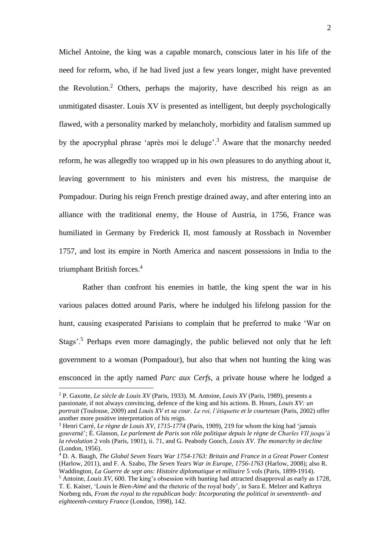Michel Antoine, the king was a capable monarch, conscious later in his life of the need for reform, who, if he had lived just a few years longer, might have prevented the Revolution.<sup>2</sup> Others, perhaps the majority, have described his reign as an unmitigated disaster. Louis XV is presented as intelligent, but deeply psychologically flawed, with a personality marked by melancholy, morbidity and fatalism summed up by the apocryphal phrase 'après moi le deluge'.<sup>3</sup> Aware that the monarchy needed reform, he was allegedly too wrapped up in his own pleasures to do anything about it, leaving government to his ministers and even his mistress, the marquise de Pompadour. During his reign French prestige drained away, and after entering into an alliance with the traditional enemy, the House of Austria, in 1756, France was humiliated in Germany by Frederick II, most famously at Rossbach in November 1757, and lost its empire in North America and nascent possessions in India to the triumphant British forces. 4

Rather than confront his enemies in battle, the king spent the war in his various palaces dotted around Paris, where he indulged his lifelong passion for the hunt, causing exasperated Parisians to complain that he preferred to make 'War on Stags'.<sup>5</sup> Perhaps even more damagingly, the public believed not only that he left government to a woman (Pompadour), but also that when not hunting the king was ensconced in the aptly named *Parc aux Cerfs*, a private house where he lodged a

<sup>2</sup> P. Gaxotte, *Le siècle de Louis XV* (Paris, 1933). M. Antoine, *Louis XV* (Paris, 1989), presents a passionate, if not always convincing, defence of the king and his actions. B. Hours, *Louis XV: un portrait* (Toulouse, 2009) and *Louis XV et sa cour. Le roi, l'étiquette et le courtesan* (Paris, 2002) offer another more positive interpretation of his reign.

<sup>3</sup> Henri Carré, *Le règne de Louis XV, 1715-1774* (Paris, 1909), 219 for whom the king had 'jamais gouverné'; É. Glasson, *Le parlement de Paris son rôle politique depuis le règne de Charles VII jusqu'à la révolution* 2 vols (Paris, 1901), ii. 71, and G. Peabody Gooch, *Louis XV. The monarchy in decline* (London, 1956).

<sup>4</sup> D. A. Baugh, *The Global Seven Years War 1754-1763: Britain and France in a Great Power Contest* (Harlow, 2011), and F. A. Szabo, *The Seven Years War in Europe, 1756-1763* (Harlow, 2008); also R. Waddington, *La Guerre de sept ans: Histoire diplomatique et militaire* 5 vols (Paris, 1899-1914).

<sup>&</sup>lt;sup>5</sup> Antoine, *Louis XV*, 600. The king's obsession with hunting had attracted disapproval as early as 1728, T. E. Kaiser, 'Louis le *Bien-Aimé* and the rhetoric of the royal body', in Sara E. Melzer and Kathryn Norberg eds, *From the royal to the republican body: Incorporating the political in seventeenth- and eighteenth-century France* (London, 1998), 142.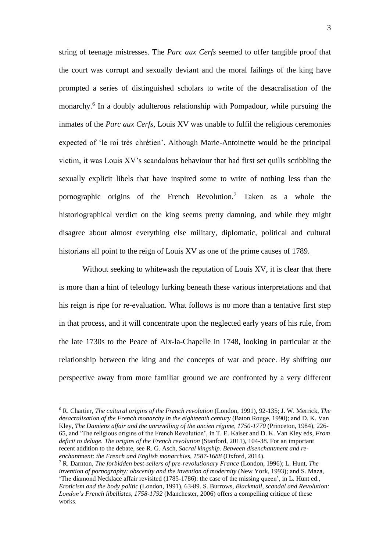string of teenage mistresses. The *Parc aux Cerfs* seemed to offer tangible proof that the court was corrupt and sexually deviant and the moral failings of the king have prompted a series of distinguished scholars to write of the desacralisation of the monarchy.<sup>6</sup> In a doubly adulterous relationship with Pompadour, while pursuing the inmates of the *Parc aux Cerfs*, Louis XV was unable to fulfil the religious ceremonies expected of 'le roi très chrétien'. Although Marie-Antoinette would be the principal victim, it was Louis XV's scandalous behaviour that had first set quills scribbling the sexually explicit libels that have inspired some to write of nothing less than the pornographic origins of the French Revolution.<sup>7</sup> Taken as a whole the historiographical verdict on the king seems pretty damning, and while they might disagree about almost everything else military, diplomatic, political and cultural historians all point to the reign of Louis XV as one of the prime causes of 1789.

Without seeking to whitewash the reputation of Louis XV, it is clear that there is more than a hint of teleology lurking beneath these various interpretations and that his reign is ripe for re-evaluation. What follows is no more than a tentative first step in that process, and it will concentrate upon the neglected early years of his rule, from the late 1730s to the Peace of Aix-la-Chapelle in 1748, looking in particular at the relationship between the king and the concepts of war and peace. By shifting our perspective away from more familiar ground we are confronted by a very different

<sup>6</sup> R. Chartier, *The cultural origins of the French revolution* (London, 1991), 92-135; J. W. Merrick, *The desacralisation of the French monarchy in the eighteenth century* (Baton Rouge, 1990); and D. K. Van Kley, *The Damiens affair and the unravelling of the ancien régime, 1750-1770* (Princeton, 1984), 226- 65, and 'The religious origins of the French Revolution', in T. E. Kaiser and D. K. Van Kley eds, *From deficit to deluge. The origins of the French revolution* (Stanford, 2011), 104-38. For an important recent addition to the debate, see R. G. Asch, *Sacral kingship. Between disenchantment and reenchantment: the French and English monarchies, 1587-1688* (Oxford, 2014).

<sup>7</sup> R. Darnton, *The forbidden best-sellers of pre-revolutionary France* (London, 1996); L. Hunt, *The invention of pornography: obscenity and the invention of modernity* (New York, 1993); and S. Maza, 'The diamond Necklace affair revisited (1785-1786): the case of the missing queen', in L. Hunt ed., *Eroticism and the body politic* (London, 1991), 63-89. S. Burrows, *Blackmail, scandal and Revolution: London's French libellistes, 1758-1792* (Manchester, 2006) offers a compelling critique of these works.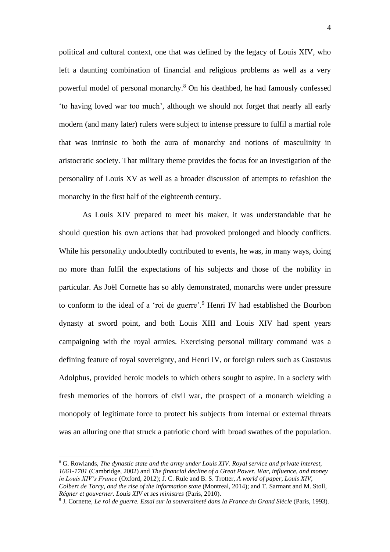political and cultural context, one that was defined by the legacy of Louis XIV, who left a daunting combination of financial and religious problems as well as a very powerful model of personal monarchy.<sup>8</sup> On his deathbed, he had famously confessed 'to having loved war too much', although we should not forget that nearly all early modern (and many later) rulers were subject to intense pressure to fulfil a martial role that was intrinsic to both the aura of monarchy and notions of masculinity in aristocratic society. That military theme provides the focus for an investigation of the personality of Louis XV as well as a broader discussion of attempts to refashion the monarchy in the first half of the eighteenth century.

As Louis XIV prepared to meet his maker, it was understandable that he should question his own actions that had provoked prolonged and bloody conflicts. While his personality undoubtedly contributed to events, he was, in many ways, doing no more than fulfil the expectations of his subjects and those of the nobility in particular. As Joël Cornette has so ably demonstrated, monarchs were under pressure to conform to the ideal of a 'roi de guerre'.<sup>9</sup> Henri IV had established the Bourbon dynasty at sword point, and both Louis XIII and Louis XIV had spent years campaigning with the royal armies. Exercising personal military command was a defining feature of royal sovereignty, and Henri IV, or foreign rulers such as Gustavus Adolphus, provided heroic models to which others sought to aspire. In a society with fresh memories of the horrors of civil war, the prospect of a monarch wielding a monopoly of legitimate force to protect his subjects from internal or external threats was an alluring one that struck a patriotic chord with broad swathes of the population.

<sup>8</sup> G. Rowlands, *The dynastic state and the army under Louis XIV. Royal service and private interest, 1661-1701* (Cambridge, 2002) and *The financial decline of a Great Power. War, influence, and money in Louis XIV's France* (Oxford, 2012); J. C. Rule and B. S. Trotter, *A world of paper, Louis XIV, Colbert de Torcy, and the rise of the information state* (Montreal, 2014); and T. Sarmant and M. Stoll, *Régner et gouverner. Louis XIV et ses ministres* (Paris, 2010).

<sup>9</sup> J. Cornette, *Le roi de guerre. Essai sur la souveraineté dans la France du Grand Siècle* (Paris, 1993).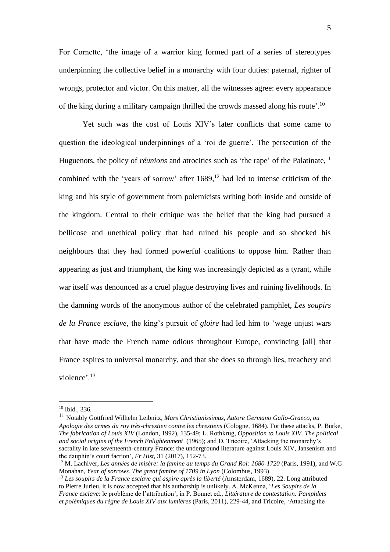For Cornette, 'the image of a warrior king formed part of a series of stereotypes underpinning the collective belief in a monarchy with four duties: paternal, righter of wrongs, protector and victor. On this matter, all the witnesses agree: every appearance of the king during a military campaign thrilled the crowds massed along his route'.<sup>10</sup>

Yet such was the cost of Louis XIV's later conflicts that some came to question the ideological underpinnings of a 'roi de guerre'. The persecution of the Huguenots, the policy of *réunions* and atrocities such as 'the rape' of the Palatinate,<sup>11</sup> combined with the 'years of sorrow' after 1689, <sup>12</sup> had led to intense criticism of the king and his style of government from polemicists writing both inside and outside of the kingdom. Central to their critique was the belief that the king had pursued a bellicose and unethical policy that had ruined his people and so shocked his neighbours that they had formed powerful coalitions to oppose him. Rather than appearing as just and triumphant, the king was increasingly depicted as a tyrant, while war itself was denounced as a cruel plague destroying lives and ruining livelihoods. In the damning words of the anonymous author of the celebrated pamphlet, *Les soupirs de la France esclave*, the king's pursuit of *gloire* had led him to 'wage unjust wars that have made the French name odious throughout Europe, convincing [all] that France aspires to universal monarchy, and that she does so through lies, treachery and violence'.<sup>13</sup>

<sup>10</sup> Ibid., 336*.*

<sup>11</sup> Notably Gottfried Wilhelm Leibnitz, *Mars Christianissimus, Autore Germano Gallo-Graeco, ou Apologie des armes du roy très-chrestien contre les chrestiens* (Cologne, 1684). For these attacks, P. Burke, *The fabrication of Louis XIV* (London, 1992), 135-49; L. Rothkrug, *Opposition to Louis XIV. The political and social origins of the French Enlightenment* (1965); and D. Tricoire, 'Attacking the monarchy's sacrality in late seventeenth-century France: the underground literature against Louis XIV, Jansenism and the dauphin's court faction', *Fr Hist*, 31 (2017), 152-73.

<sup>12</sup> M. Lachiver, *Les années de misère: la famine au temps du Grand Roi: 1680-1720* (Paris, 1991), and W.G Monahan, *Year of sorrows. The great famine of 1709 in Lyon* (Colombus, 1993).

<sup>13</sup> *Les soupirs de la France esclave qui aspire après la liberté* (Amsterdam, 1689), 22. Long attributed to Pierre Jurieu, it is now accepted that his authorship is unlikely. A. McKenna, '*Les Soupirs de la France esclave*: le problème de l'attribution', in P. Bonnet ed., *Littérature de contestation: Pamphlets et polémiques du règne de Louis XIV aux lumières* (Paris, 2011), 229-44, and Tricoire, 'Attacking the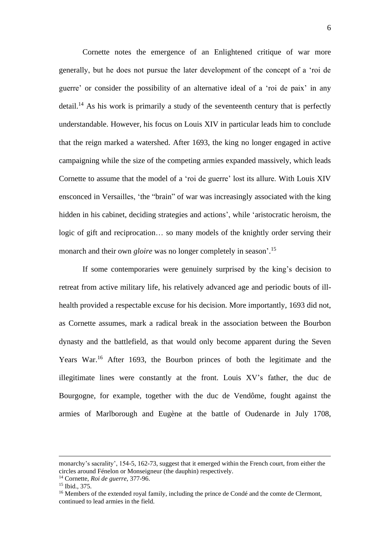Cornette notes the emergence of an Enlightened critique of war more generally, but he does not pursue the later development of the concept of a 'roi de guerre' or consider the possibility of an alternative ideal of a 'roi de paix' in any detail.<sup>14</sup> As his work is primarily a study of the seventeenth century that is perfectly understandable. However, his focus on Louis XIV in particular leads him to conclude that the reign marked a watershed. After 1693, the king no longer engaged in active campaigning while the size of the competing armies expanded massively, which leads Cornette to assume that the model of a 'roi de guerre' lost its allure. With Louis XIV ensconced in Versailles, 'the "brain" of war was increasingly associated with the king hidden in his cabinet, deciding strategies and actions', while 'aristocratic heroism, the logic of gift and reciprocation… so many models of the knightly order serving their monarch and their own *gloire* was no longer completely in season'. 15

If some contemporaries were genuinely surprised by the king's decision to retreat from active military life, his relatively advanced age and periodic bouts of illhealth provided a respectable excuse for his decision. More importantly, 1693 did not, as Cornette assumes, mark a radical break in the association between the Bourbon dynasty and the battlefield, as that would only become apparent during the Seven Years War. <sup>16</sup> After 1693, the Bourbon princes of both the legitimate and the illegitimate lines were constantly at the front. Louis XV's father, the duc de Bourgogne, for example, together with the duc de Vendôme, fought against the armies of Marlborough and Eugène at the battle of Oudenarde in July 1708,

monarchy's sacrality', 154-5, 162-73, suggest that it emerged within the French court, from either the circles around Fénelon or Monseigneur (the dauphin) respectively.

<sup>14</sup> Cornette, *Roi de guerre*, 377-96.

<sup>15</sup> Ibid., 375.

<sup>&</sup>lt;sup>16</sup> Members of the extended royal family, including the prince de Condé and the comte de Clermont, continued to lead armies in the field.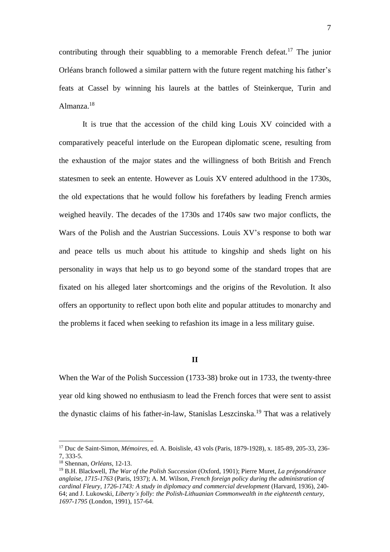contributing through their squabbling to a memorable French defeat.<sup>17</sup> The junior Orléans branch followed a similar pattern with the future regent matching his father's feats at Cassel by winning his laurels at the battles of Steinkerque, Turin and Almanza.<sup>18</sup>

It is true that the accession of the child king Louis XV coincided with a comparatively peaceful interlude on the European diplomatic scene, resulting from the exhaustion of the major states and the willingness of both British and French statesmen to seek an entente. However as Louis XV entered adulthood in the 1730s, the old expectations that he would follow his forefathers by leading French armies weighed heavily. The decades of the 1730s and 1740s saw two major conflicts, the Wars of the Polish and the Austrian Successions. Louis XV's response to both war and peace tells us much about his attitude to kingship and sheds light on his personality in ways that help us to go beyond some of the standard tropes that are fixated on his alleged later shortcomings and the origins of the Revolution. It also offers an opportunity to reflect upon both elite and popular attitudes to monarchy and the problems it faced when seeking to refashion its image in a less military guise.

#### **II**

When the War of the Polish Succession (1733-38) broke out in 1733, the twenty-three year old king showed no enthusiasm to lead the French forces that were sent to assist the dynastic claims of his father-in-law, Stanislas Leszcinska.<sup>19</sup> That was a relatively

<sup>17</sup> Duc de Saint-Simon, *Mémoires,* ed. A. Boislisle, 43 vols (Paris, 1879-1928), x. 185-89, 205-33, 236- 7, 333-5.

<sup>18</sup> Shennan, *Orléans*, 12-13.

<sup>19</sup> B.H. Blackwell, *The War of the Polish Succession* (Oxford, 1901); Pierre Muret, *La prépondérance anglaise, 1715-1763* (Paris, 1937); A. M. Wilson, *French foreign policy during the administration of cardinal Fleury, 1726-1743: A study in diplomacy and commercial development* (Harvard, 1936), 240- 64; and J. Lukowski, *Liberty's folly: the Polish-Lithuanian Commonwealth in the eighteenth century, 1697-1795* (London, 1991), 157-64.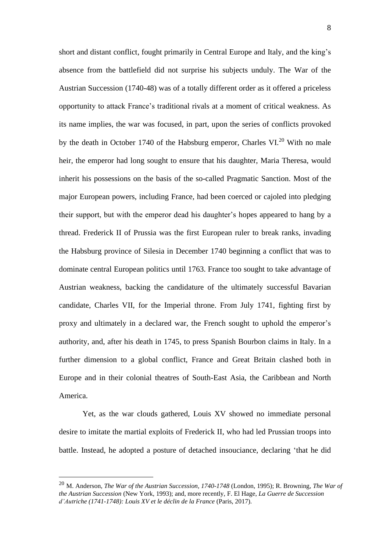short and distant conflict, fought primarily in Central Europe and Italy, and the king's absence from the battlefield did not surprise his subjects unduly. The War of the Austrian Succession (1740-48) was of a totally different order as it offered a priceless opportunity to attack France's traditional rivals at a moment of critical weakness. As its name implies, the war was focused, in part, upon the series of conflicts provoked by the death in October 1740 of the Habsburg emperor, Charles VI.<sup>20</sup> With no male heir, the emperor had long sought to ensure that his daughter, Maria Theresa, would inherit his possessions on the basis of the so-called Pragmatic Sanction. Most of the major European powers, including France, had been coerced or cajoled into pledging their support, but with the emperor dead his daughter's hopes appeared to hang by a thread. Frederick II of Prussia was the first European ruler to break ranks, invading the Habsburg province of Silesia in December 1740 beginning a conflict that was to dominate central European politics until 1763. France too sought to take advantage of Austrian weakness, backing the candidature of the ultimately successful Bavarian candidate, Charles VII, for the Imperial throne. From July 1741, fighting first by proxy and ultimately in a declared war, the French sought to uphold the emperor's authority, and, after his death in 1745, to press Spanish Bourbon claims in Italy. In a further dimension to a global conflict, France and Great Britain clashed both in Europe and in their colonial theatres of South-East Asia, the Caribbean and North America.

Yet, as the war clouds gathered, Louis XV showed no immediate personal desire to imitate the martial exploits of Frederick II, who had led Prussian troops into battle. Instead, he adopted a posture of detached insouciance, declaring 'that he did

<sup>20</sup> M. Anderson, *The War of the Austrian Succession, 1740-1748* (London, 1995); R. Browning, *The War of the Austrian Succession* (New York, 1993); and, more recently, F. El Hage, *La Guerre de Succession d'Autriche (1741-1748): Louis XV et le déclin de la France* (Paris, 2017).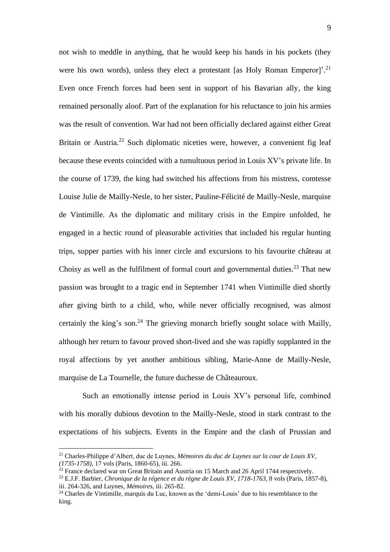not wish to meddle in anything, that he would keep his hands in his pockets (they were his own words), unless they elect a protestant [as Holy Roman Emperor]'.<sup>21</sup> Even once French forces had been sent in support of his Bavarian ally, the king remained personally aloof. Part of the explanation for his reluctance to join his armies was the result of convention. War had not been officially declared against either Great Britain or Austria.<sup>22</sup> Such diplomatic niceties were, however, a convenient fig leaf because these events coincided with a tumultuous period in Louis XV's private life. In the course of 1739, the king had switched his affections from his mistress, comtesse Louise Julie de Mailly-Nesle, to her sister, Pauline-Félicité de Mailly-Nesle, marquise de Vintimille. As the diplomatic and military crisis in the Empire unfolded, he engaged in a hectic round of pleasurable activities that included his regular hunting trips, supper parties with his inner circle and excursions to his favourite château at Choisy as well as the fulfilment of formal court and governmental duties.<sup>23</sup> That new passion was brought to a tragic end in September 1741 when Vintimille died shortly after giving birth to a child, who, while never officially recognised, was almost certainly the king's son.<sup>24</sup> The grieving monarch briefly sought solace with Mailly, although her return to favour proved short-lived and she was rapidly supplanted in the royal affections by yet another ambitious sibling, Marie-Anne de Mailly-Nesle, marquise de La Tournelle, the future duchesse de Châteauroux.

Such an emotionally intense period in Louis XV's personal life, combined with his morally dubious devotion to the Mailly-Nesle, stood in stark contrast to the expectations of his subjects. Events in the Empire and the clash of Prussian and

<sup>21</sup> Charles-Philippe d'Albert, duc de Luynes, *Mémoires du duc de Luynes sur la cour de Louis XV, (1735-1758)*, 17 vols (Paris, 1860-65), iii. 266.

 $^{22}$  France declared war on Great Britain and Austria on 15 March and 26 April 1744 respectively.

<sup>23</sup> E.J.F. Barbier, *Chronique de la régence et du règne de Louis XV, 1718-1763,* 8 vols (Paris, 1857-8), iii. 264-326, and Luynes, *Mémoires*, iii. 265-82.

<sup>&</sup>lt;sup>24</sup> Charles de Vintimille, marquis du Luc, known as the 'demi-Louis' due to his resemblance to the king.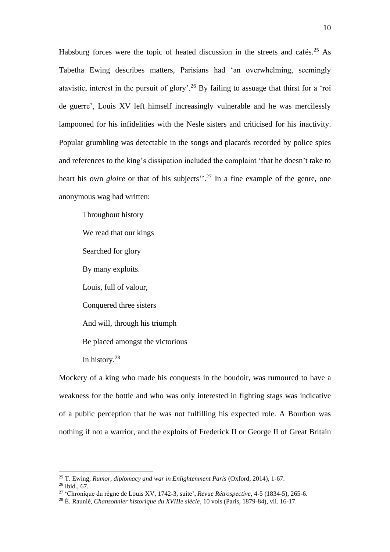Habsburg forces were the topic of heated discussion in the streets and cafés.<sup>25</sup> As Tabetha Ewing describes matters, Parisians had 'an overwhelming, seemingly atavistic, interest in the pursuit of glory'.<sup>26</sup> By failing to assuage that thirst for a 'roi de guerre', Louis XV left himself increasingly vulnerable and he was mercilessly lampooned for his infidelities with the Nesle sisters and criticised for his inactivity. Popular grumbling was detectable in the songs and placards recorded by police spies and references to the king's dissipation included the complaint 'that he doesn't take to heart his own *gloire* or that of his subjects"<sup>27</sup> In a fine example of the genre, one anonymous wag had written:

Throughout history We read that our kings Searched for glory By many exploits. Louis, full of valour, Conquered three sisters And will, through his triumph Be placed amongst the victorious In history.<sup>28</sup>

Mockery of a king who made his conquests in the boudoir, was rumoured to have a weakness for the bottle and who was only interested in fighting stags was indicative of a public perception that he was not fulfilling his expected role. A Bourbon was nothing if not a warrior, and the exploits of Frederick II or George II of Great Britain

<sup>25</sup> T. Ewing, *Rumor, diplomacy and war in Enlightenment Paris* (Oxford, 2014), 1-67.

<sup>26</sup> Ibid., 67.

<sup>27</sup> 'Chronique du règne de Louis XV, 1742-3, suite', *Revue Rétrospective*, 4-5 (1834-5), 265-6.

<sup>28</sup> É. Raunié, *Chansonnier historique du XVIIIe siècle*, 10 vols (Paris, 1879-84), vii. 16-17.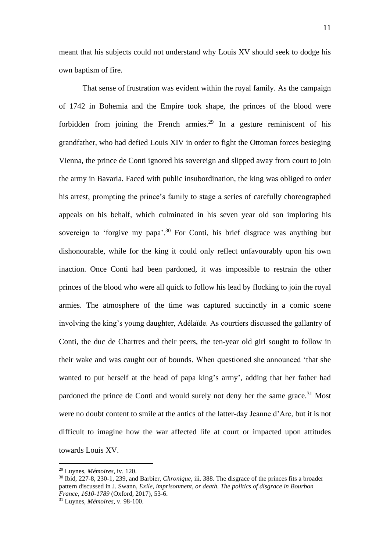meant that his subjects could not understand why Louis XV should seek to dodge his own baptism of fire.

That sense of frustration was evident within the royal family. As the campaign of 1742 in Bohemia and the Empire took shape, the princes of the blood were forbidden from joining the French armies.<sup>29</sup> In a gesture reminiscent of his grandfather, who had defied Louis XIV in order to fight the Ottoman forces besieging Vienna, the prince de Conti ignored his sovereign and slipped away from court to join the army in Bavaria. Faced with public insubordination, the king was obliged to order his arrest, prompting the prince's family to stage a series of carefully choreographed appeals on his behalf, which culminated in his seven year old son imploring his sovereign to 'forgive my papa'.<sup>30</sup> For Conti, his brief disgrace was anything but dishonourable, while for the king it could only reflect unfavourably upon his own inaction. Once Conti had been pardoned, it was impossible to restrain the other princes of the blood who were all quick to follow his lead by flocking to join the royal armies. The atmosphere of the time was captured succinctly in a comic scene involving the king's young daughter, Adélaïde. As courtiers discussed the gallantry of Conti, the duc de Chartres and their peers, the ten-year old girl sought to follow in their wake and was caught out of bounds. When questioned she announced 'that she wanted to put herself at the head of papa king's army', adding that her father had pardoned the prince de Conti and would surely not deny her the same grace.<sup>31</sup> Most were no doubt content to smile at the antics of the latter-day Jeanne d'Arc, but it is not difficult to imagine how the war affected life at court or impacted upon attitudes towards Louis XV.

<sup>29</sup> Luynes, *Mémoires*, iv. 120.

<sup>30</sup> Ibid, 227-8, 230-1, 239, and Barbier, *Chronique*, iii. 388. The disgrace of the princes fits a broader pattern discussed in J. Swann, *Exile, imprisonment, or death. The politics of disgrace in Bourbon France, 1610-1789* (Oxford, 2017), 53-6.

<sup>31</sup> Luynes, *Mémoires*, v. 98-100.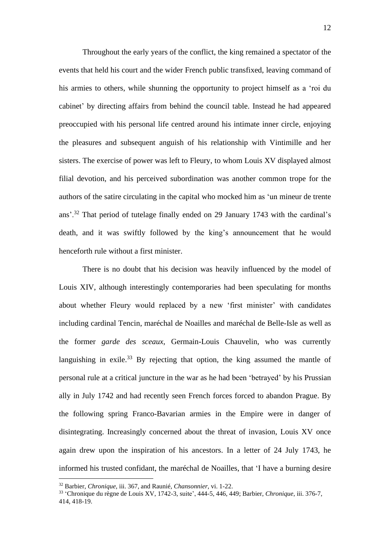Throughout the early years of the conflict, the king remained a spectator of the events that held his court and the wider French public transfixed, leaving command of his armies to others, while shunning the opportunity to project himself as a 'roi du cabinet' by directing affairs from behind the council table. Instead he had appeared preoccupied with his personal life centred around his intimate inner circle, enjoying the pleasures and subsequent anguish of his relationship with Vintimille and her sisters. The exercise of power was left to Fleury, to whom Louis XV displayed almost filial devotion, and his perceived subordination was another common trope for the authors of the satire circulating in the capital who mocked him as 'un mineur de trente ans'.<sup>32</sup> That period of tutelage finally ended on 29 January 1743 with the cardinal's death, and it was swiftly followed by the king's announcement that he would henceforth rule without a first minister.

There is no doubt that his decision was heavily influenced by the model of Louis XIV, although interestingly contemporaries had been speculating for months about whether Fleury would replaced by a new 'first minister' with candidates including cardinal Tencin, maréchal de Noailles and maréchal de Belle-Isle as well as the former *garde des sceaux*, Germain-Louis Chauvelin, who was currently languishing in exile.<sup>33</sup> By rejecting that option, the king assumed the mantle of personal rule at a critical juncture in the war as he had been 'betrayed' by his Prussian ally in July 1742 and had recently seen French forces forced to abandon Prague. By the following spring Franco-Bavarian armies in the Empire were in danger of disintegrating. Increasingly concerned about the threat of invasion, Louis XV once again drew upon the inspiration of his ancestors. In a letter of 24 July 1743, he informed his trusted confidant, the maréchal de Noailles, that 'I have a burning desire

<sup>32</sup> Barbier, *Chronique*, iii. 367, and Raunié, *Chansonnier*, vi. 1-22.

<sup>33</sup> 'Chronique du règne de Louis XV, 1742-3, suite', 444-5, 446, 449; Barbier, *Chronique*, iii. 376-7, 414, 418-19.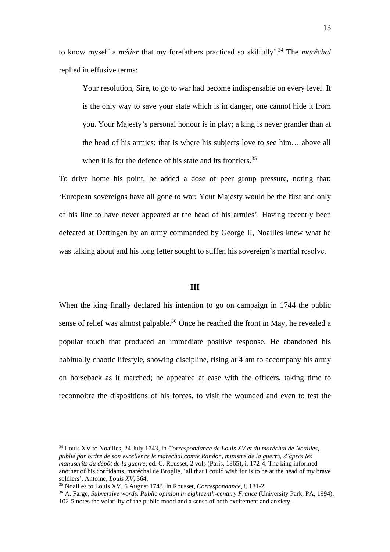to know myself a *métier* that my forefathers practiced so skilfully'.<sup>34</sup> The *maréchal* replied in effusive terms:

Your resolution, Sire, to go to war had become indispensable on every level. It is the only way to save your state which is in danger, one cannot hide it from you. Your Majesty's personal honour is in play; a king is never grander than at the head of his armies; that is where his subjects love to see him… above all when it is for the defence of his state and its frontiers.<sup>35</sup>

To drive home his point, he added a dose of peer group pressure, noting that: 'European sovereigns have all gone to war; Your Majesty would be the first and only of his line to have never appeared at the head of his armies'. Having recently been defeated at Dettingen by an army commanded by George II, Noailles knew what he was talking about and his long letter sought to stiffen his sovereign's martial resolve.

#### **III**

When the king finally declared his intention to go on campaign in 1744 the public sense of relief was almost palpable.<sup>36</sup> Once he reached the front in May, he revealed a popular touch that produced an immediate positive response. He abandoned his habitually chaotic lifestyle, showing discipline, rising at 4 am to accompany his army on horseback as it marched; he appeared at ease with the officers, taking time to reconnoitre the dispositions of his forces, to visit the wounded and even to test the

<sup>34</sup> Louis XV to Noailles, 24 July 1743, in *Correspondance de Louis XV et du maréchal de Noailles, publié par ordre de son excellence le maréchal comte Randon, ministre de la guerre, d'après les manuscrits du dépôt de la guerre,* ed. C. Rousset, 2 vols (Paris, 1865), i. 172-4. The king informed another of his confidants, maréchal de Broglie, 'all that I could wish for is to be at the head of my brave soldiers', Antoine, *Louis XV*, 364.

<sup>35</sup> Noailles to Louis XV, 6 August 1743, in Rousset, *Correspondance*, i. 181-2.

<sup>36</sup> A. Farge, *Subversive words. Public opinion in eighteenth-century France* (University Park, PA, 1994), 102-5 notes the volatility of the public mood and a sense of both excitement and anxiety.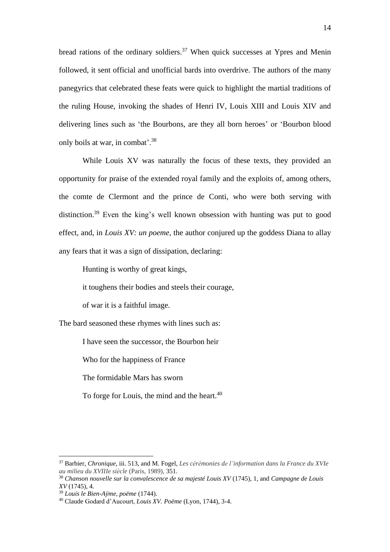bread rations of the ordinary soldiers.<sup>37</sup> When quick successes at Ypres and Menin followed, it sent official and unofficial bards into overdrive. The authors of the many panegyrics that celebrated these feats were quick to highlight the martial traditions of the ruling House, invoking the shades of Henri IV, Louis XIII and Louis XIV and delivering lines such as 'the Bourbons, are they all born heroes' or 'Bourbon blood only boils at war, in combat'.<sup>38</sup>

While Louis XV was naturally the focus of these texts, they provided an opportunity for praise of the extended royal family and the exploits of, among others, the comte de Clermont and the prince de Conti, who were both serving with distinction.<sup>39</sup> Even the king's well known obsession with hunting was put to good effect, and, in *Louis XV: un poeme,* the author conjured up the goddess Diana to allay any fears that it was a sign of dissipation, declaring:

Hunting is worthy of great kings,

it toughens their bodies and steels their courage,

of war it is a faithful image.

The bard seasoned these rhymes with lines such as:

I have seen the successor, the Bourbon heir

Who for the happiness of France

The formidable Mars has sworn

To forge for Louis, the mind and the heart.<sup>40</sup>

<sup>37</sup> Barbier, *Chronique,* iii. 513, and M. Fogel, *Les cérémonies de l'information dans la France du XVIe au milieu du XVIIIe siècle* (Paris, 1989), 351.

<sup>38</sup> *Chanson nouvelle sur la convalescence de sa majesté Louis XV* (1745), 1, and *Campagne de Louis XV* (1745), 4.

<sup>39</sup> *Louis le Bien-Aÿme, poëme* (1744).

<sup>40</sup> Claude Godard d'Aucourt, *Louis XV. Poëme* (Lyon, 1744), 3-4.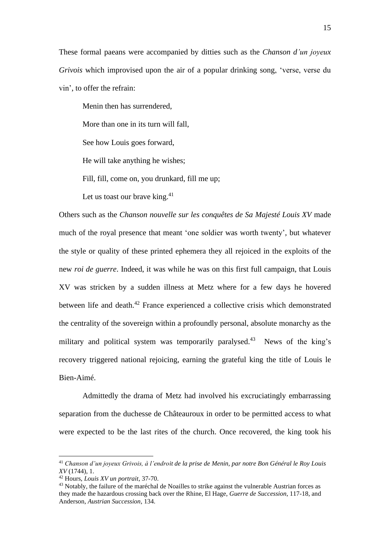These formal paeans were accompanied by ditties such as the *Chanson d'un joyeux Grivois* which improvised upon the air of a popular drinking song, 'verse, verse du vin', to offer the refrain:

Menin then has surrendered, More than one in its turn will fall, See how Louis goes forward, He will take anything he wishes; Fill, fill, come on, you drunkard, fill me up; Let us toast our brave king.<sup>41</sup>

Others such as the *Chanson nouvelle sur les conquêtes de Sa Majesté Louis XV* made much of the royal presence that meant 'one soldier was worth twenty', but whatever the style or quality of these printed ephemera they all rejoiced in the exploits of the new *roi de guerre*. Indeed, it was while he was on this first full campaign, that Louis XV was stricken by a sudden illness at Metz where for a few days he hovered between life and death.<sup>42</sup> France experienced a collective crisis which demonstrated the centrality of the sovereign within a profoundly personal, absolute monarchy as the military and political system was temporarily paralysed.<sup>43</sup> News of the king's recovery triggered national rejoicing, earning the grateful king the title of Louis le Bien-Aimé.

Admittedly the drama of Metz had involved his excruciatingly embarrassing separation from the duchesse de Châteauroux in order to be permitted access to what were expected to be the last rites of the church. Once recovered, the king took his

<sup>41</sup> *Chanson d'un joyeux Grivois, à l'endroit de la prise de Menin, par notre Bon Général le Roy Louis XV* (1744), 1.

<sup>42</sup> Hours, *Louis XV un portrait*, 37-70.

<sup>&</sup>lt;sup>43</sup> Notably, the failure of the maréchal de Noailles to strike against the vulnerable Austrian forces as they made the hazardous crossing back over the Rhine, El Hage, *Guerre de Succession*, 117-18, and Anderson, *Austrian Succession*, 134.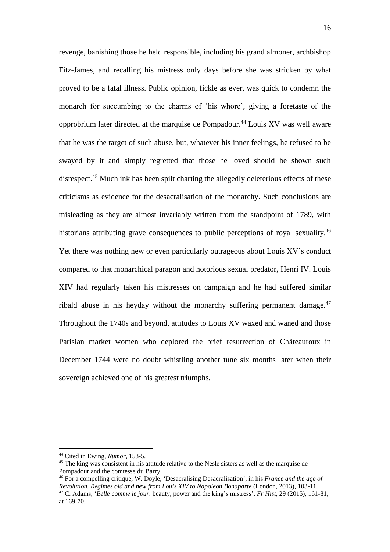revenge, banishing those he held responsible, including his grand almoner, archbishop Fitz-James, and recalling his mistress only days before she was stricken by what proved to be a fatal illness. Public opinion, fickle as ever, was quick to condemn the monarch for succumbing to the charms of 'his whore', giving a foretaste of the opprobrium later directed at the marquise de Pompadour.<sup>44</sup> Louis XV was well aware that he was the target of such abuse, but, whatever his inner feelings, he refused to be swayed by it and simply regretted that those he loved should be shown such disrespect.<sup>45</sup> Much ink has been spilt charting the allegedly deleterious effects of these criticisms as evidence for the desacralisation of the monarchy. Such conclusions are misleading as they are almost invariably written from the standpoint of 1789, with historians attributing grave consequences to public perceptions of royal sexuality.<sup>46</sup> Yet there was nothing new or even particularly outrageous about Louis XV's conduct compared to that monarchical paragon and notorious sexual predator, Henri IV. Louis XIV had regularly taken his mistresses on campaign and he had suffered similar ribald abuse in his heyday without the monarchy suffering permanent damage. $47$ Throughout the 1740s and beyond, attitudes to Louis XV waxed and waned and those Parisian market women who deplored the brief resurrection of Châteauroux in December 1744 were no doubt whistling another tune six months later when their sovereign achieved one of his greatest triumphs.

<sup>44</sup> Cited in Ewing, *Rumor*, 153-5.

<sup>&</sup>lt;sup>45</sup> The king was consistent in his attitude relative to the Nesle sisters as well as the marquise de Pompadour and the comtesse du Barry.

<sup>46</sup> For a compelling critique, W. Doyle, 'Desacralising Desacralisation', in his *France and the age of Revolution. Regimes old and new from Louis XIV to Napoleon Bonaparte* (London, 2013), 103-11. <sup>47</sup> C. Adams, '*Belle comme le jour*: beauty, power and the king's mistress', *Fr Hist*, 29 (2015), 161-81, at 169-70.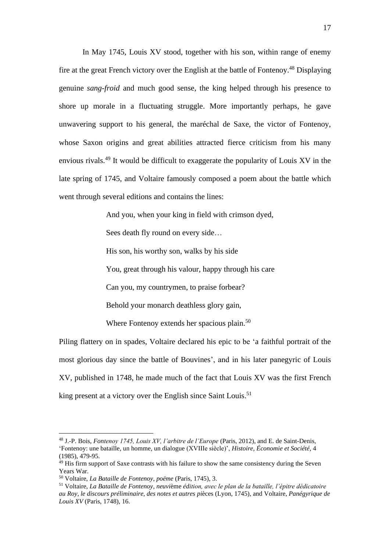In May 1745, Louis XV stood, together with his son, within range of enemy fire at the great French victory over the English at the battle of Fontenoy.<sup>48</sup> Displaying genuine *sang-froid* and much good sense, the king helped through his presence to shore up morale in a fluctuating struggle. More importantly perhaps, he gave unwavering support to his general, the maréchal de Saxe, the victor of Fontenoy, whose Saxon origins and great abilities attracted fierce criticism from his many envious rivals.<sup>49</sup> It would be difficult to exaggerate the popularity of Louis XV in the late spring of 1745, and Voltaire famously composed a poem about the battle which went through several editions and contains the lines:

And you, when your king in field with crimson dyed,

Sees death fly round on every side…

His son, his worthy son, walks by his side

You, great through his valour, happy through his care

Can you, my countrymen, to praise forbear?

Behold your monarch deathless glory gain,

Where Fontenoy extends her spacious plain.<sup>50</sup>

Piling flattery on in spades, Voltaire declared his epic to be 'a faithful portrait of the most glorious day since the battle of Bouvines', and in his later panegyric of Louis XV, published in 1748, he made much of the fact that Louis XV was the first French king present at a victory over the English since Saint Louis.<sup>51</sup>

<sup>48</sup> J.-P. Bois, *Fontenoy 1745, Louis XV, l'arbitre de l'Europe* (Paris, 2012), and E. de Saint-Denis, 'Fontenoy: une bataille, un homme, un dialogue (XVIIIe siècle)', *Histoire, Économie et Société*, 4 (1985), 479-95.

<sup>&</sup>lt;sup>49</sup> His firm support of Saxe contrasts with his failure to show the same consistency during the Seven Years War.

<sup>50</sup> Voltaire, *La Bataille de Fontenoy*, *poëme* (Paris, 1745), 3.

<sup>51</sup> Voltaire, *La Bataille de Fontenoy*, *neuvi*ème *édition, avec le plan de la bataille, l'épitre dédicatoire au Roy, le discours préliminaire, des notes et autres pi*èces (Lyon, 1745), and Voltaire, *Panégyrique de Louis XV* (Paris, 1748), 16.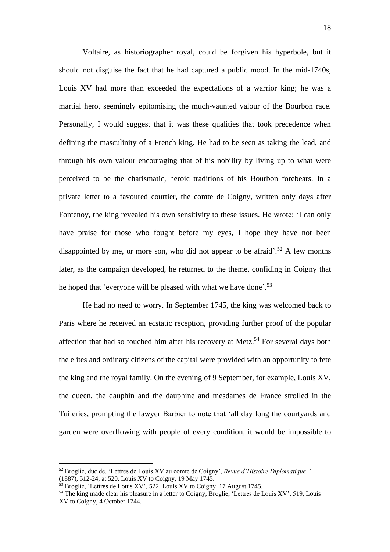Voltaire, as historiographer royal, could be forgiven his hyperbole, but it should not disguise the fact that he had captured a public mood. In the mid-1740s, Louis XV had more than exceeded the expectations of a warrior king; he was a martial hero, seemingly epitomising the much-vaunted valour of the Bourbon race. Personally, I would suggest that it was these qualities that took precedence when defining the masculinity of a French king. He had to be seen as taking the lead, and through his own valour encouraging that of his nobility by living up to what were perceived to be the charismatic, heroic traditions of his Bourbon forebears. In a private letter to a favoured courtier, the comte de Coigny, written only days after Fontenoy, the king revealed his own sensitivity to these issues. He wrote: 'I can only have praise for those who fought before my eyes, I hope they have not been disappointed by me, or more son, who did not appear to be afraid'.<sup>52</sup> A few months later, as the campaign developed, he returned to the theme, confiding in Coigny that he hoped that 'everyone will be pleased with what we have done'.<sup>53</sup>

He had no need to worry. In September 1745, the king was welcomed back to Paris where he received an ecstatic reception, providing further proof of the popular affection that had so touched him after his recovery at Metz.<sup>54</sup> For several days both the elites and ordinary citizens of the capital were provided with an opportunity to fete the king and the royal family. On the evening of 9 September, for example, Louis XV, the queen, the dauphin and the dauphine and mesdames de France strolled in the Tuileries, prompting the lawyer Barbier to note that 'all day long the courtyards and garden were overflowing with people of every condition, it would be impossible to

<sup>52</sup> Broglie, duc de, 'Lettres de Louis XV au comte de Coigny', *Revue d'Histoire Diplomatique*, 1 (1887), 512-24, at 520, Louis XV to Coigny, 19 May 1745.

<sup>53</sup> Broglie, 'Lettres de Louis XV', 522, Louis XV to Coigny, 17 August 1745.

<sup>&</sup>lt;sup>54</sup> The king made clear his pleasure in a letter to Coigny, Broglie, 'Lettres de Louis XV', 519, Louis XV to Coigny, 4 October 1744.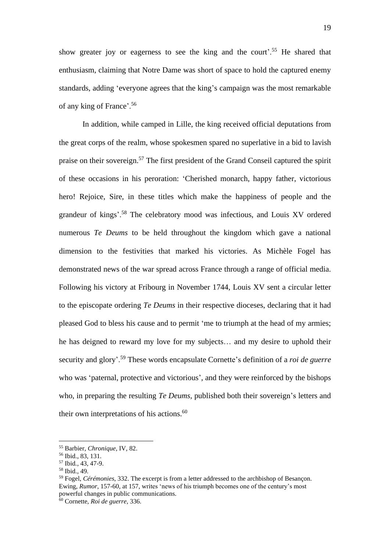show greater joy or eagerness to see the king and the court'.<sup>55</sup> He shared that enthusiasm, claiming that Notre Dame was short of space to hold the captured enemy standards, adding 'everyone agrees that the king's campaign was the most remarkable of any king of France'.<sup>56</sup>

In addition, while camped in Lille, the king received official deputations from the great corps of the realm, whose spokesmen spared no superlative in a bid to lavish praise on their sovereign.<sup>57</sup> The first president of the Grand Conseil captured the spirit of these occasions in his peroration: 'Cherished monarch, happy father, victorious hero! Rejoice, Sire, in these titles which make the happiness of people and the grandeur of kings'.<sup>58</sup> The celebratory mood was infectious, and Louis XV ordered numerous *Te Deums* to be held throughout the kingdom which gave a national dimension to the festivities that marked his victories. As Michèle Fogel has demonstrated news of the war spread across France through a range of official media. Following his victory at Fribourg in November 1744, Louis XV sent a circular letter to the episcopate ordering *Te Deums* in their respective dioceses, declaring that it had pleased God to bless his cause and to permit 'me to triumph at the head of my armies; he has deigned to reward my love for my subjects… and my desire to uphold their security and glory'.<sup>59</sup> These words encapsulate Cornette's definition of a *roi de guerre* who was 'paternal, protective and victorious', and they were reinforced by the bishops who, in preparing the resulting *Te Deums,* published both their sovereign's letters and their own interpretations of his actions. $60$ 

<sup>55</sup> Barbier, *Chronique*, IV, 82.

<sup>56</sup> Ibid., 83, 131.

<sup>57</sup> Ibid., 43, 47-9.

<sup>58</sup> Ibid., 49.

<sup>59</sup> Fogel, *Cérémonies*, 332. The excerpt is from a letter addressed to the archbishop of Besançon. Ewing, *Rumor*, 157-60, at 157, writes 'news of his triumph becomes one of the century's most powerful changes in public communications.

<sup>60</sup> Cornette, *Roi de guerre*, 336.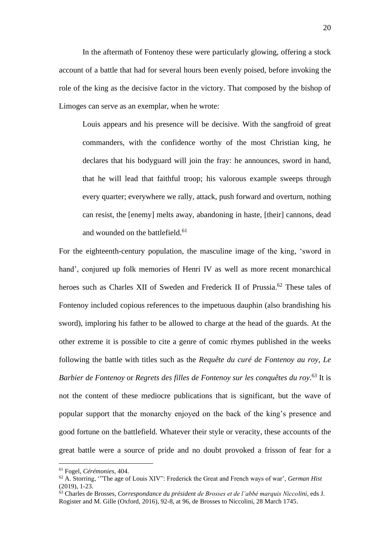In the aftermath of Fontenoy these were particularly glowing, offering a stock account of a battle that had for several hours been evenly poised, before invoking the role of the king as the decisive factor in the victory. That composed by the bishop of Limoges can serve as an exemplar, when he wrote:

Louis appears and his presence will be decisive. With the sangfroid of great commanders, with the confidence worthy of the most Christian king, he declares that his bodyguard will join the fray: he announces, sword in hand, that he will lead that faithful troop; his valorous example sweeps through every quarter; everywhere we rally, attack, push forward and overturn, nothing can resist, the [enemy] melts away, abandoning in haste, [their] cannons, dead and wounded on the battlefield.<sup>61</sup>

For the eighteenth-century population, the masculine image of the king, 'sword in hand', conjured up folk memories of Henri IV as well as more recent monarchical heroes such as Charles XII of Sweden and Frederick II of Prussia. <sup>62</sup> These tales of Fontenoy included copious references to the impetuous dauphin (also brandishing his sword), imploring his father to be allowed to charge at the head of the guards. At the other extreme it is possible to cite a genre of comic rhymes published in the weeks following the battle with titles such as the *Requête du curé de Fontenoy au roy*, *Le Barbier de Fontenoy* or *Regrets des filles de Fontenoy sur les conquêtes du roy*. <sup>63</sup> It is not the content of these mediocre publications that is significant, but the wave of popular support that the monarchy enjoyed on the back of the king's presence and good fortune on the battlefield. Whatever their style or veracity, these accounts of the great battle were a source of pride and no doubt provoked a frisson of fear for a

<sup>61</sup> Fogel, *Cérémonies*, 404.

<sup>62</sup> A. Storring, '"The age of Louis XIV": Frederick the Great and French ways of war', *German Hist* (2019), 1-23.

<sup>63</sup> Charles de Brosses, *Correspondance du président de Brosses et de l'abbé marquis Niccolini*, eds J. Rogister and M. Gille (Oxford, 2016), 92-8, at 96, de Brosses to Niccolini, 28 March 1745.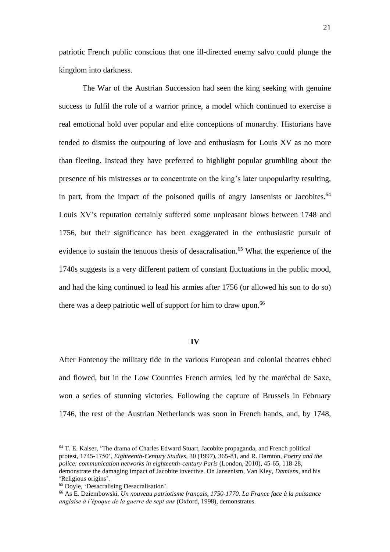patriotic French public conscious that one ill-directed enemy salvo could plunge the kingdom into darkness.

The War of the Austrian Succession had seen the king seeking with genuine success to fulfil the role of a warrior prince, a model which continued to exercise a real emotional hold over popular and elite conceptions of monarchy. Historians have tended to dismiss the outpouring of love and enthusiasm for Louis XV as no more than fleeting. Instead they have preferred to highlight popular grumbling about the presence of his mistresses or to concentrate on the king's later unpopularity resulting, in part, from the impact of the poisoned quills of angry Jansenists or Jacobites.<sup>64</sup> Louis XV's reputation certainly suffered some unpleasant blows between 1748 and 1756, but their significance has been exaggerated in the enthusiastic pursuit of evidence to sustain the tenuous thesis of desacralisation.<sup>65</sup> What the experience of the 1740s suggests is a very different pattern of constant fluctuations in the public mood, and had the king continued to lead his armies after 1756 (or allowed his son to do so) there was a deep patriotic well of support for him to draw upon.<sup>66</sup>

## **IV**

After Fontenoy the military tide in the various European and colonial theatres ebbed and flowed, but in the Low Countries French armies, led by the maréchal de Saxe, won a series of stunning victories. Following the capture of Brussels in February 1746, the rest of the Austrian Netherlands was soon in French hands, and, by 1748,

<sup>64</sup> T. E. Kaiser, 'The drama of Charles Edward Stuart, Jacobite propaganda, and French political protest, 1745-1750', *Eighteenth-Century Studies,* 30 (1997), 365-81, and R. Darnton, *Poetry and the police: communication networks in eighteenth-century Paris* (London, 2010), 45-65, 118-28, demonstrate the damaging impact of Jacobite invective. On Jansenism, Van Kley, *Damiens*, and his 'Religious origins'.

<sup>65</sup> Doyle, 'Desacralising Desacralisation'.

<sup>66</sup> As E. Dziembowski, *Un nouveau patriotisme français, 1750-1770. La France face à la puissance anglaise à l'époque de la guerre de sept ans* (Oxford, 1998), demonstrates.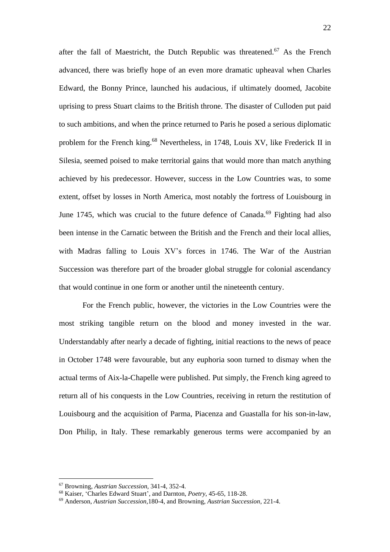after the fall of Maestricht, the Dutch Republic was threatened.<sup>67</sup> As the French advanced, there was briefly hope of an even more dramatic upheaval when Charles Edward, the Bonny Prince, launched his audacious, if ultimately doomed, Jacobite uprising to press Stuart claims to the British throne. The disaster of Culloden put paid to such ambitions, and when the prince returned to Paris he posed a serious diplomatic problem for the French king.<sup>68</sup> Nevertheless, in 1748, Louis XV, like Frederick II in Silesia, seemed poised to make territorial gains that would more than match anything achieved by his predecessor. However, success in the Low Countries was, to some extent, offset by losses in North America, most notably the fortress of Louisbourg in June 1745, which was crucial to the future defence of Canada.<sup>69</sup> Fighting had also been intense in the Carnatic between the British and the French and their local allies, with Madras falling to Louis XV's forces in 1746. The War of the Austrian Succession was therefore part of the broader global struggle for colonial ascendancy that would continue in one form or another until the nineteenth century.

For the French public, however, the victories in the Low Countries were the most striking tangible return on the blood and money invested in the war. Understandably after nearly a decade of fighting, initial reactions to the news of peace in October 1748 were favourable, but any euphoria soon turned to dismay when the actual terms of Aix-la-Chapelle were published. Put simply, the French king agreed to return all of his conquests in the Low Countries, receiving in return the restitution of Louisbourg and the acquisition of Parma, Piacenza and Guastalla for his son-in-law, Don Philip, in Italy. These remarkably generous terms were accompanied by an

<sup>67</sup> Browning, *Austrian Succession*, 341-4, 352-4.

<sup>68</sup> Kaiser, 'Charles Edward Stuart', and Darnton, *Poetry*, 45-65, 118-28.

<sup>69</sup> Anderson, *Austrian Succession*,180-4, and Browning, *Austrian Succession*, 221-4.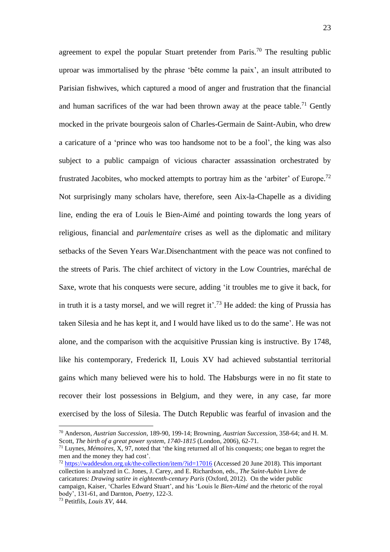agreement to expel the popular Stuart pretender from Paris.<sup>70</sup> The resulting public uproar was immortalised by the phrase 'bête comme la paix', an insult attributed to Parisian fishwives, which captured a mood of anger and frustration that the financial and human sacrifices of the war had been thrown away at the peace table.<sup>71</sup> Gently mocked in the private bourgeois salon of Charles-Germain de Saint-Aubin, who drew a caricature of a 'prince who was too handsome not to be a fool', the king was also subject to a public campaign of vicious character assassination orchestrated by frustrated Jacobites, who mocked attempts to portray him as the 'arbiter' of Europe.<sup>72</sup> Not surprisingly many scholars have, therefore, seen Aix-la-Chapelle as a dividing line, ending the era of Louis le Bien-Aimé and pointing towards the long years of religious, financial and *parlementaire* crises as well as the diplomatic and military setbacks of the Seven Years War.Disenchantment with the peace was not confined to the streets of Paris. The chief architect of victory in the Low Countries, maréchal de Saxe, wrote that his conquests were secure, adding 'it troubles me to give it back, for in truth it is a tasty morsel, and we will regret it'.<sup>73</sup> He added: the king of Prussia has taken Silesia and he has kept it, and I would have liked us to do the same'. He was not alone, and the comparison with the acquisitive Prussian king is instructive. By 1748, like his contemporary, Frederick II, Louis XV had achieved substantial territorial gains which many believed were his to hold. The Habsburgs were in no fit state to recover their lost possessions in Belgium, and they were, in any case, far more exercised by the loss of Silesia. The Dutch Republic was fearful of invasion and the

<sup>70</sup> Anderson, *Austrian Succession*, 189-90, 199-14; Browning, *Austrian Succession*, 358-64; and H. M. Scott, *The birth of a great power system, 1740-1815* (London, 2006), 62-71.

<sup>71</sup> Luynes, *Mémoires*, X, 97, noted that 'the king returned all of his conquests; one began to regret the men and the money they had cost'.

<sup>72</sup> <https://waddesdon.org.uk/the-collection/item/?id=17016> (Accessed 20 June 2018). This important collection is analyzed in C. Jones, J. Carey, and E. Richardson, eds., *The Saint-Aubin* Livre de caricatures*: Drawing satire in eighteenth-century Paris* (Oxford, 2012). On the wider public campaign, Kaiser, 'Charles Edward Stuart', and his 'Louis le *Bien-Aimé* and the rhetoric of the royal body', 131-61, and Darnton, *Poetry*, 122-3.

<sup>73</sup> Petitfils, *Louis XV*, 444.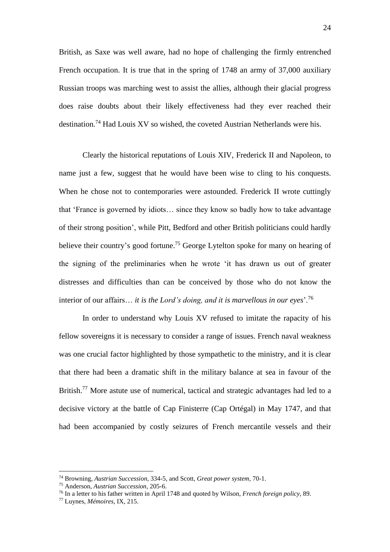British, as Saxe was well aware, had no hope of challenging the firmly entrenched French occupation. It is true that in the spring of 1748 an army of 37,000 auxiliary Russian troops was marching west to assist the allies, although their glacial progress does raise doubts about their likely effectiveness had they ever reached their destination. <sup>74</sup> Had Louis XV so wished, the coveted Austrian Netherlands were his.

Clearly the historical reputations of Louis XIV, Frederick II and Napoleon, to name just a few, suggest that he would have been wise to cling to his conquests. When he chose not to contemporaries were astounded. Frederick II wrote cuttingly that 'France is governed by idiots… since they know so badly how to take advantage of their strong position', while Pitt, Bedford and other British politicians could hardly believe their country's good fortune.<sup>75</sup> George Lytelton spoke for many on hearing of the signing of the preliminaries when he wrote 'it has drawn us out of greater distresses and difficulties than can be conceived by those who do not know the interior of our affairs… *it is the Lord's doing, and it is marvellous in our eyes*'.<sup>76</sup>

In order to understand why Louis XV refused to imitate the rapacity of his fellow sovereigns it is necessary to consider a range of issues. French naval weakness was one crucial factor highlighted by those sympathetic to the ministry, and it is clear that there had been a dramatic shift in the military balance at sea in favour of the British.<sup>77</sup> More astute use of numerical, tactical and strategic advantages had led to a decisive victory at the battle of Cap Finisterre (Cap Ortégal) in May 1747, and that had been accompanied by costly seizures of French mercantile vessels and their

<sup>74</sup> Browning, *Austrian Succession*, 334-5, and Scott, *Great power system*, 70-1.

<sup>75</sup> Anderson, *Austrian Succession*, 205-6.

<sup>76</sup> In a letter to his father written in April 1748 and quoted by Wilson, *French foreign policy*, 89.

<sup>77</sup> Luynes, *Mémoires*, IX, 215.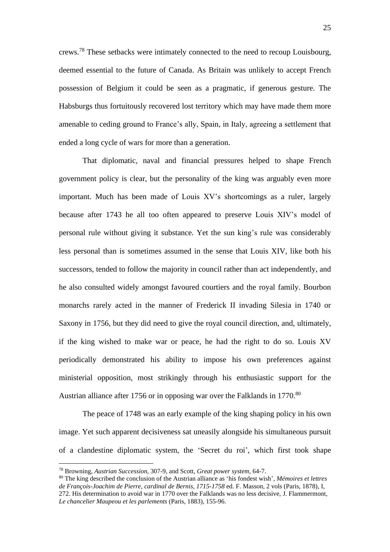crews.<sup>78</sup> These setbacks were intimately connected to the need to recoup Louisbourg, deemed essential to the future of Canada. As Britain was unlikely to accept French possession of Belgium it could be seen as a pragmatic, if generous gesture. The Habsburgs thus fortuitously recovered lost territory which may have made them more amenable to ceding ground to France's ally, Spain, in Italy, agreeing a settlement that ended a long cycle of wars for more than a generation.

That diplomatic, naval and financial pressures helped to shape French government policy is clear, but the personality of the king was arguably even more important. Much has been made of Louis XV's shortcomings as a ruler, largely because after 1743 he all too often appeared to preserve Louis XIV's model of personal rule without giving it substance. Yet the sun king's rule was considerably less personal than is sometimes assumed in the sense that Louis XIV, like both his successors, tended to follow the majority in council rather than act independently, and he also consulted widely amongst favoured courtiers and the royal family. Bourbon monarchs rarely acted in the manner of Frederick II invading Silesia in 1740 or Saxony in 1756, but they did need to give the royal council direction, and, ultimately, if the king wished to make war or peace, he had the right to do so. Louis XV periodically demonstrated his ability to impose his own preferences against ministerial opposition, most strikingly through his enthusiastic support for the Austrian alliance after 1756 or in opposing war over the Falklands in 1770.<sup>80</sup>

The peace of 1748 was an early example of the king shaping policy in his own image. Yet such apparent decisiveness sat uneasily alongside his simultaneous pursuit of a clandestine diplomatic system, the 'Secret du roi', which first took shape

<sup>78</sup> Browning, *Austrian Succession*, 307-9, and Scott, *Great power system*, 64-7.

<sup>80</sup> The king described the conclusion of the Austrian alliance as 'his fondest wish', *Mémoires et lettres de François-Joachim de Pierre, cardinal de Bernis, 1715-1758* ed. F. Masson, 2 vols (Paris, 1878), I, 272. His determination to avoid war in 1770 over the Falklands was no less decisive, J. Flammermont, *Le chancelier Maupeou et les parlements* (Paris, 1883), 155-96.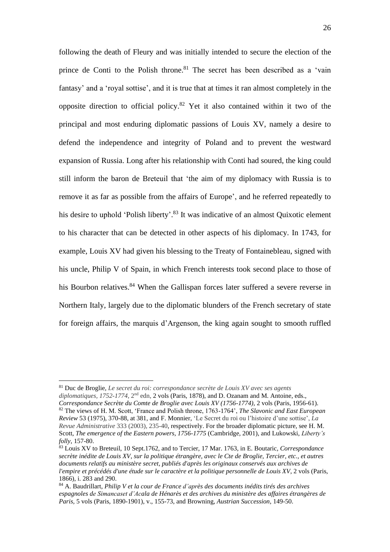following the death of Fleury and was initially intended to secure the election of the prince de Conti to the Polish throne.<sup>81</sup> The secret has been described as a 'vain fantasy' and a 'royal sottise', and it is true that at times it ran almost completely in the opposite direction to official policy.<sup>82</sup> Yet it also contained within it two of the principal and most enduring diplomatic passions of Louis XV, namely a desire to defend the independence and integrity of Poland and to prevent the westward expansion of Russia. Long after his relationship with Conti had soured, the king could still inform the baron de Breteuil that 'the aim of my diplomacy with Russia is to remove it as far as possible from the affairs of Europe', and he referred repeatedly to his desire to uphold 'Polish liberty'.<sup>83</sup> It was indicative of an almost Quixotic element to his character that can be detected in other aspects of his diplomacy. In 1743, for example, Louis XV had given his blessing to the Treaty of Fontainebleau, signed with his uncle, Philip V of Spain, in which French interests took second place to those of his Bourbon relatives.<sup>84</sup> When the Gallispan forces later suffered a severe reverse in Northern Italy, largely due to the diplomatic blunders of the French secretary of state for foreign affairs, the marquis d'Argenson, the king again sought to smooth ruffled

<sup>81</sup> Duc de Broglie, *Le secret du roi: correspondance secrète de Louis XV avec ses agents diplomatiques, 1752-1774*, 2nd edn, 2 vols (Paris, 1878), and D. Ozanam and M. Antoine, eds.,

*Correspondance Secrète du Comte de Broglie avec Louis XV (1756-1774)*, 2 vols (Paris, 1956-61). <sup>82</sup> The views of H. M. Scott, 'France and Polish throne, 1763-1764', *The Slavonic and East European Review* 53 (1975), 370-88, at 381, and F. Monnier, 'Le Secret du roi ou l'histoire d'une sottise', *La Revue Administrative* 333 (2003), 235-40, respectively. For the broader diplomatic picture, see H. M. Scott, *The emergence of the Eastern powers*, *1756-1775* (Cambridge, 2001), and Lukowski, *Liberty's folly*, 157-80.

<sup>83</sup> Louis XV to Breteuil, 10 Sept.1762, and to Tercier, 17 Mar. 1763, in E. Boutaric, *Correspondance secrète inédite de Louis XV, sur la politique étrangère, avec le Cte de Broglie, Tercier, etc., et autres documents relatifs au ministère secret, publiés d'après les originaux conservés aux archives de l'empire et précédés d'une étude sur le caractère et la politique personnelle de Louis XV*, 2 vols (Paris, 1866), i. 283 and 290.

<sup>84</sup> A. Baudrillart, *Philip V et la cour de France d'après des documents inédits tirés des archives espagnoles de Simancaset d'Acala de Hénarès et des archives du ministère des affaires étrangères de Paris,* 5 vols (Paris, 1890-1901), v., 155-73, and Browning, *Austrian Succession*, 149-50.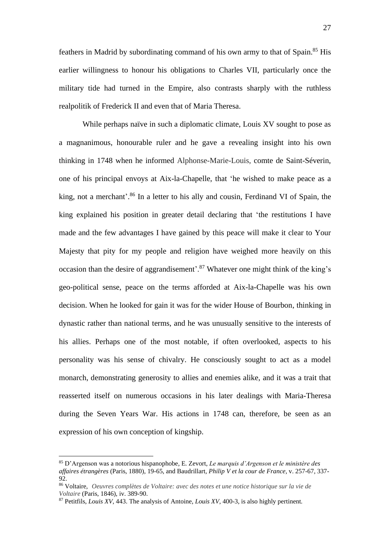feathers in Madrid by subordinating command of his own army to that of Spain.<sup>85</sup> His earlier willingness to honour his obligations to Charles VII, particularly once the military tide had turned in the Empire, also contrasts sharply with the ruthless realpolitik of Frederick II and even that of Maria Theresa.

While perhaps naïve in such a diplomatic climate, Louis XV sought to pose as a magnanimous, honourable ruler and he gave a revealing insight into his own thinking in 1748 when he informed Alphonse-Marie-Louis, comte de Saint-Séverin, one of his principal envoys at Aix-la-Chapelle, that 'he wished to make peace as a king, not a merchant'.<sup>86</sup> In a letter to his ally and cousin, Ferdinand VI of Spain, the king explained his position in greater detail declaring that 'the restitutions I have made and the few advantages I have gained by this peace will make it clear to Your Majesty that pity for my people and religion have weighed more heavily on this occasion than the desire of aggrandisement'.<sup>87</sup> Whatever one might think of the king's geo-political sense, peace on the terms afforded at Aix-la-Chapelle was his own decision. When he looked for gain it was for the wider House of Bourbon, thinking in dynastic rather than national terms, and he was unusually sensitive to the interests of his allies. Perhaps one of the most notable, if often overlooked, aspects to his personality was his sense of chivalry. He consciously sought to act as a model monarch, demonstrating generosity to allies and enemies alike, and it was a trait that reasserted itself on numerous occasions in his later dealings with Maria-Theresa during the Seven Years War. His actions in 1748 can, therefore, be seen as an expression of his own conception of kingship.

<sup>85</sup> D'Argenson was a notorious hispanophobe, E. Zevort, *Le marquis d'Argenson et le ministère des affaires étrangères* (Paris, 1880), 19-65, and Baudrillart, *Philip V et la cour de France*, v. 257-67, 337- 92.

<sup>86</sup> Voltaire, *Oeuvres complètes de Voltaire: avec des notes et une notice historique sur la vie de Voltaire* (Paris, 1846), iv. 389-90.

<sup>87</sup> Petitfils, *Louis XV*, 443. The analysis of Antoine, *Louis XV*, 400-3, is also highly pertinent.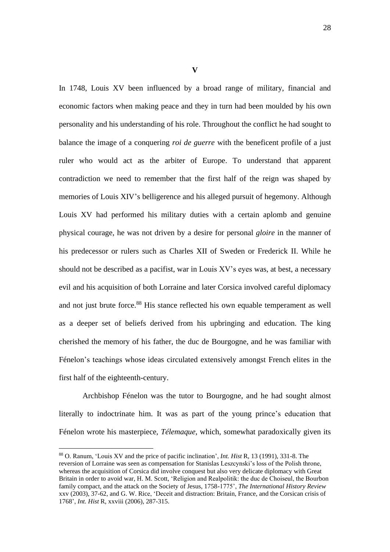**V**

In 1748, Louis XV been influenced by a broad range of military, financial and economic factors when making peace and they in turn had been moulded by his own personality and his understanding of his role. Throughout the conflict he had sought to balance the image of a conquering *roi de guerre* with the beneficent profile of a just ruler who would act as the arbiter of Europe. To understand that apparent contradiction we need to remember that the first half of the reign was shaped by memories of Louis XIV's belligerence and his alleged pursuit of hegemony. Although Louis XV had performed his military duties with a certain aplomb and genuine physical courage, he was not driven by a desire for personal *gloire* in the manner of his predecessor or rulers such as Charles XII of Sweden or Frederick II. While he should not be described as a pacifist, war in Louis XV's eyes was, at best, a necessary evil and his acquisition of both Lorraine and later Corsica involved careful diplomacy and not just brute force.<sup>88</sup> His stance reflected his own equable temperament as well as a deeper set of beliefs derived from his upbringing and education. The king cherished the memory of his father, the duc de Bourgogne, and he was familiar with Fénelon's teachings whose ideas circulated extensively amongst French elites in the first half of the eighteenth-century.

Archbishop Fénelon was the tutor to Bourgogne, and he had sought almost literally to indoctrinate him. It was as part of the young prince's education that Fénelon wrote his masterpiece, *Télemaque*, which, somewhat paradoxically given its

<sup>88</sup> O. Ranum, 'Louis XV and the price of pacific inclination', *Int. Hist* R, 13 (1991), 331-8. The reversion of Lorraine was seen as compensation for Stanislas Leszcynski's loss of the Polish throne, whereas the acquisition of Corsica did involve conquest but also very delicate diplomacy with Great Britain in order to avoid war, H. M. Scott, 'Religion and Realpolitik: the duc de Choiseul, the Bourbon family compact, and the attack on the Society of Jesus, 1758-1775', *The International History Review* xxv (2003), 37-62, and G. W. Rice, 'Deceit and distraction: Britain, France, and the Corsican crisis of 1768', *Int. Hist* R, xxviii (2006), 287-315.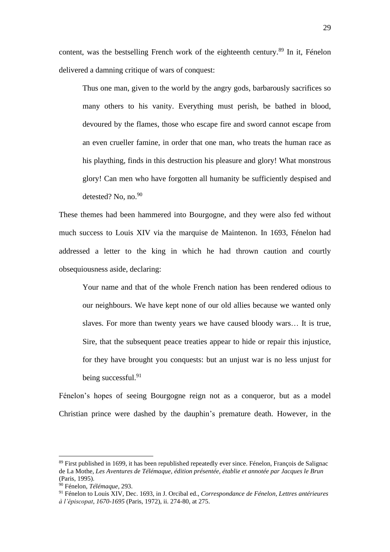content, was the bestselling French work of the eighteenth century.<sup>89</sup> In it, Fénelon delivered a damning critique of wars of conquest:

Thus one man, given to the world by the angry gods, barbarously sacrifices so many others to his vanity. Everything must perish, be bathed in blood, devoured by the flames, those who escape fire and sword cannot escape from an even crueller famine, in order that one man, who treats the human race as his plaything, finds in this destruction his pleasure and glory! What monstrous glory! Can men who have forgotten all humanity be sufficiently despised and detested? No, no. $90$ 

These themes had been hammered into Bourgogne, and they were also fed without much success to Louis XIV via the marquise de Maintenon. In 1693, Fénelon had addressed a letter to the king in which he had thrown caution and courtly obsequiousness aside, declaring:

Your name and that of the whole French nation has been rendered odious to our neighbours. We have kept none of our old allies because we wanted only slaves. For more than twenty years we have caused bloody wars… It is true, Sire, that the subsequent peace treaties appear to hide or repair this injustice, for they have brought you conquests: but an unjust war is no less unjust for being successful. 91

Fénelon's hopes of seeing Bourgogne reign not as a conqueror, but as a model Christian prince were dashed by the dauphin's premature death. However, in the

<sup>89</sup> First published in 1699, it has been republished repeatedly ever since. Fénelon, François de Salignac de La Mothe, *Les Aventures de Télémaque, édition présentée, établie et annotée par Jacques le Brun* (Paris, 1995).

<sup>90</sup> Fénelon, *Télémaque*, 293.

<sup>91</sup> Fénelon to Louis XIV, Dec. 1693, in J. Orcibal ed., *Correspondance de Fénelon, Lettres antérieures à l'épiscopat, 1670-1695* (Paris, 1972), ii. 274-80, at 275.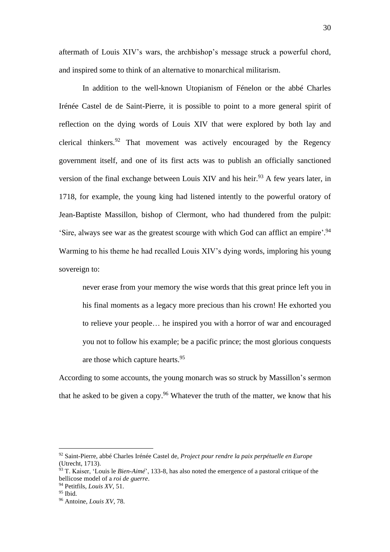aftermath of Louis XIV's wars, the archbishop's message struck a powerful chord, and inspired some to think of an alternative to monarchical militarism.

In addition to the well-known Utopianism of Fénelon or the abbé Charles Irénée Castel de de Saint-Pierre, it is possible to point to a more general spirit of reflection on the dying words of Louis XIV that were explored by both lay and clerical thinkers.<sup>92</sup> That movement was actively encouraged by the Regency government itself, and one of its first acts was to publish an officially sanctioned version of the final exchange between Louis XIV and his heir.<sup>93</sup> A few years later, in 1718, for example, the young king had listened intently to the powerful oratory of Jean-Baptiste Massillon, bishop of Clermont, who had thundered from the pulpit: 'Sire, always see war as the greatest scourge with which God can afflict an empire'. 94 Warming to his theme he had recalled Louis XIV's dying words, imploring his young sovereign to:

never erase from your memory the wise words that this great prince left you in his final moments as a legacy more precious than his crown! He exhorted you to relieve your people… he inspired you with a horror of war and encouraged you not to follow his example; be a pacific prince; the most glorious conquests are those which capture hearts.<sup>95</sup>

According to some accounts, the young monarch was so struck by Massillon's sermon that he asked to be given a copy.<sup>96</sup> Whatever the truth of the matter, we know that his

<sup>92</sup> Saint-Pierre, abbé Charles Irénée Castel de, *Project pour rendre la paix perpétuelle en Europe* (Utrecht, 1713).

<sup>&</sup>lt;sup>93</sup> T. Kaiser, 'Louis le *Bien-Aimé*', 133-8, has also noted the emergence of a pastoral critique of the bellicose model of a *roi de guerre*.

<sup>94</sup> Petitfils, *Louis XV*, 51.

 $95$  Ibid.

<sup>96</sup> Antoine, *Louis XV*, 78.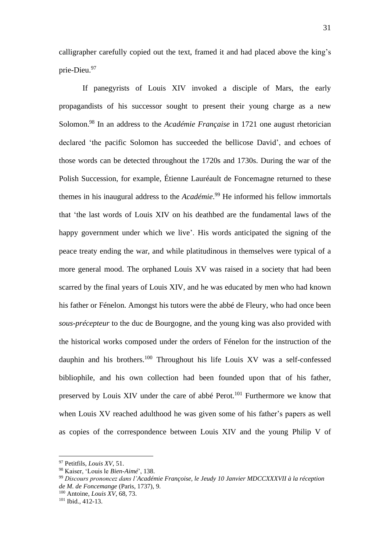calligrapher carefully copied out the text, framed it and had placed above the king's prie-Dieu.<sup>97</sup>

If panegyrists of Louis XIV invoked a disciple of Mars, the early propagandists of his successor sought to present their young charge as a new Solomon. <sup>98</sup> In an address to the *Académie Française* in 1721 one august rhetorician declared 'the pacific Solomon has succeeded the bellicose David', and echoes of those words can be detected throughout the 1720s and 1730s. During the war of the Polish Succession, for example, Étienne Lauréault de Foncemagne returned to these themes in his inaugural address to the *Académie*. <sup>99</sup> He informed his fellow immortals that 'the last words of Louis XIV on his deathbed are the fundamental laws of the happy government under which we live'. His words anticipated the signing of the peace treaty ending the war, and while platitudinous in themselves were typical of a more general mood. The orphaned Louis XV was raised in a society that had been scarred by the final years of Louis XIV, and he was educated by men who had known his father or Fénelon. Amongst his tutors were the abbé de Fleury, who had once been *sous-précepteur* to the duc de Bourgogne, and the young king was also provided with the historical works composed under the orders of Fénelon for the instruction of the dauphin and his brothers.<sup>100</sup> Throughout his life Louis XV was a self-confessed bibliophile, and his own collection had been founded upon that of his father, preserved by Louis XIV under the care of abbé Perot.<sup>101</sup> Furthermore we know that when Louis XV reached adulthood he was given some of his father's papers as well as copies of the correspondence between Louis XIV and the young Philip V of

<sup>97</sup> Petitfils, *Louis XV*, 51.

<sup>98</sup> Kaiser, 'Louis le *Bien-Aimé*', 138.

<sup>99</sup> *Discours prononcez dans l'Académie Françoise, le Jeudy 10 Janvier MDCCXXXVII à la réception de M. de Foncemange* (Paris, 1737), 9.

<sup>100</sup> Antoine, *Louis XV*, 68, 73.

<sup>101</sup> Ibid., 412-13.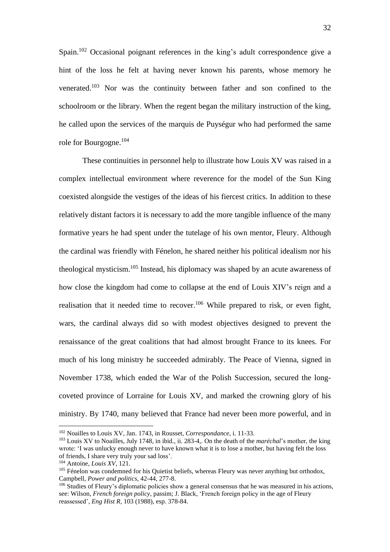Spain.<sup>102</sup> Occasional poignant references in the king's adult correspondence give a hint of the loss he felt at having never known his parents, whose memory he venerated.<sup>103</sup> Nor was the continuity between father and son confined to the schoolroom or the library. When the regent began the military instruction of the king, he called upon the services of the marquis de Puységur who had performed the same role for Bourgogne. 104

These continuities in personnel help to illustrate how Louis XV was raised in a complex intellectual environment where reverence for the model of the Sun King coexisted alongside the vestiges of the ideas of his fiercest critics. In addition to these relatively distant factors it is necessary to add the more tangible influence of the many formative years he had spent under the tutelage of his own mentor, Fleury. Although the cardinal was friendly with Fénelon, he shared neither his political idealism nor his theological mysticism.<sup>105</sup> Instead, his diplomacy was shaped by an acute awareness of how close the kingdom had come to collapse at the end of Louis XIV's reign and a realisation that it needed time to recover.<sup>106</sup> While prepared to risk, or even fight, wars, the cardinal always did so with modest objectives designed to prevent the renaissance of the great coalitions that had almost brought France to its knees. For much of his long ministry he succeeded admirably. The Peace of Vienna, signed in November 1738, which ended the War of the Polish Succession, secured the longcoveted province of Lorraine for Louis XV, and marked the crowning glory of his ministry. By 1740, many believed that France had never been more powerful, and in

<sup>102</sup> Noailles to Louis XV, Jan. 1743, in Rousset, *Correspondance*, i. 11-33.

<sup>103</sup> Louis XV to Noailles, July 1748, in ibid., ii. 283-4,. On the death of the *maréchal*'s mother, the king wrote: 'I was unlucky enough never to have known what it is to lose a mother, but having felt the loss of friends, I share very truly your sad loss'.

<sup>104</sup> Antoine, *Louis XV*, 121.

<sup>&</sup>lt;sup>105</sup> Fénelon was condemned for his Quietist beliefs, whereas Fleury was never anything but orthodox, Campbell, *Power and politics*, 42-44, 277-8.

<sup>&</sup>lt;sup>106</sup> Studies of Fleury's diplomatic policies show a general consensus that he was measured in his actions, see: Wilson, *French foreign policy*, passim; J. Black, 'French foreign policy in the age of Fleury reassessed', *Eng Hist R,* 103 (1988), esp. 378-84.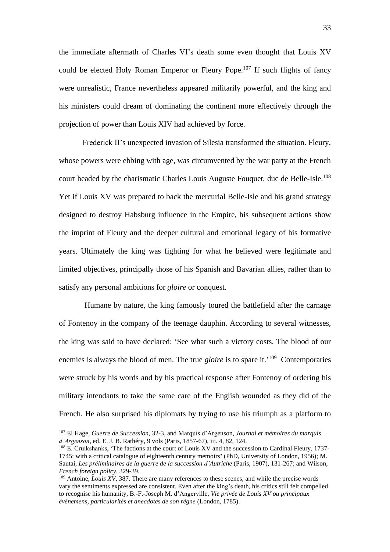the immediate aftermath of Charles VI's death some even thought that Louis XV could be elected Holy Roman Emperor or Fleury Pope.<sup>107</sup> If such flights of fancy were unrealistic, France nevertheless appeared militarily powerful, and the king and his ministers could dream of dominating the continent more effectively through the projection of power than Louis XIV had achieved by force.

Frederick II's unexpected invasion of Silesia transformed the situation. Fleury, whose powers were ebbing with age, was circumvented by the war party at the French court headed by the charismatic Charles Louis Auguste Fouquet, duc de Belle-Isle.<sup>108</sup> Yet if Louis XV was prepared to back the mercurial Belle-Isle and his grand strategy designed to destroy Habsburg influence in the Empire, his subsequent actions show the imprint of Fleury and the deeper cultural and emotional legacy of his formative years. Ultimately the king was fighting for what he believed were legitimate and limited objectives, principally those of his Spanish and Bavarian allies, rather than to satisfy any personal ambitions for *gloire* or conquest.

Humane by nature, the king famously toured the battlefield after the carnage of Fontenoy in the company of the teenage dauphin. According to several witnesses, the king was said to have declared: 'See what such a victory costs. The blood of our enemies is always the blood of men. The true *gloire* is to spare it.<sup>'109</sup> Contemporaries were struck by his words and by his practical response after Fontenoy of ordering his military intendants to take the same care of the English wounded as they did of the French. He also surprised his diplomats by trying to use his triumph as a platform to

<sup>107</sup> El Hage, *Guerre de Succession*, 32-3, and Marquis d'Argenson, *Journal et mémoires du marquis d'Argenson*, ed. E. J. B. Rathéry, 9 vols (Paris, 1857-67), iii. 4, 82, 124.

<sup>&</sup>lt;sup>108</sup> E. Cruikshanks, 'The factions at the court of Louis XV and the succession to Cardinal Fleury, 1737-1745: with a critical catalogue of eighteenth century memoirs**'** (PhD, University of London, 1956); M. Sautai, *Les préliminaires de la guerre de la succession d'Autriche* (Paris, 1907), 131-267; and Wilson, *French foreign policy*, 329-39.

<sup>&</sup>lt;sup>109</sup> Antoine, *Louis XV*, 387. There are many references to these scenes, and while the precise words vary the sentiments expressed are consistent. Even after the king's death, his critics still felt compelled to recognise his humanity, B.-F.-Joseph M. d'Angerville, *Vie privée de Louis XV ou principaux événemens, particularités et anecdotes de son règne* (London, 1785).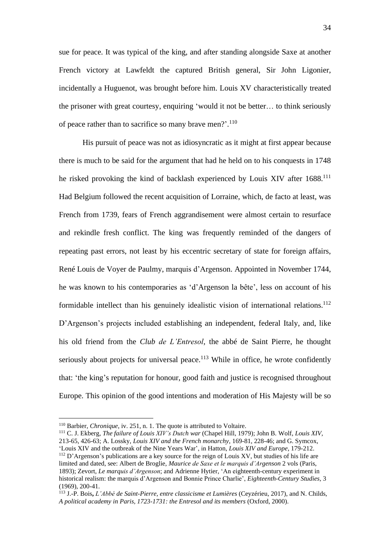sue for peace. It was typical of the king, and after standing alongside Saxe at another French victory at Lawfeldt the captured British general, Sir John Ligonier, incidentally a Huguenot, was brought before him. Louis XV characteristically treated the prisoner with great courtesy, enquiring 'would it not be better… to think seriously of peace rather than to sacrifice so many brave men?'.<sup>110</sup>

His pursuit of peace was not as idiosyncratic as it might at first appear because there is much to be said for the argument that had he held on to his conquests in 1748 he risked provoking the kind of backlash experienced by Louis XIV after 1688.<sup>111</sup> Had Belgium followed the recent acquisition of Lorraine, which, de facto at least, was French from 1739, fears of French aggrandisement were almost certain to resurface and rekindle fresh conflict. The king was frequently reminded of the dangers of repeating past errors, not least by his eccentric secretary of state for foreign affairs, René Louis de Voyer de Paulmy, marquis d'Argenson. Appointed in November 1744, he was known to his contemporaries as 'd'Argenson la bête', less on account of his formidable intellect than his genuinely idealistic vision of international relations.<sup>112</sup> D'Argenson's projects included establishing an independent, federal Italy, and, like his old friend from the *Club de L'Entresol*, the abbé de Saint Pierre, he thought seriously about projects for universal peace.<sup>113</sup> While in office, he wrote confidently that: 'the king's reputation for honour, good faith and justice is recognised throughout Europe. This opinion of the good intentions and moderation of His Majesty will be so

<sup>110</sup> Barbier, *Chronique*, iv. 251, n. 1. The quote is attributed to Voltaire.

<sup>111</sup> C. J. Ekberg, *The failure of Louis XIV's Dutch war* (Chapel Hill, 1979); John B. Wolf, *Louis XIV*, 213-65, 426-63; A. Lossky, *Louis XIV and the French monarchy*, 169-81, 228-46; and G. Symcox, 'Louis XIV and the outbreak of the Nine Years War', in Hatton, *Louis XIV and Europe*, 179-212.

 $112$  D'Argenson's publications are a key source for the reign of Louis XV, but studies of his life are limited and dated, see: Albert de Broglie, *Maurice de Saxe et le marquis d'Argenson* 2 vols (Paris, 1893); Zevort, *Le marquis d'Argenson*; and Adrienne Hytier, 'An eighteenth-century experiment in historical realism: the marquis d'Argenson and Bonnie Prince Charlie', *Eighteenth-Century Studies,* 3 (1969), 200-41.

<sup>113</sup> J.-P. Bois**,** *L'Abbé de Saint-Pierre, entre classicisme et Lumières* (Ceyzérieu, 2017), and N. Childs, *A political academy in Paris, 1723-1731: the Entresol and its members* (Oxford, 2000).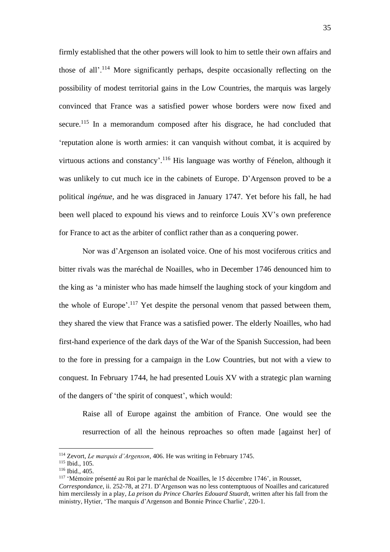firmly established that the other powers will look to him to settle their own affairs and those of all'.<sup>114</sup> More significantly perhaps, despite occasionally reflecting on the possibility of modest territorial gains in the Low Countries, the marquis was largely convinced that France was a satisfied power whose borders were now fixed and secure.<sup>115</sup> In a memorandum composed after his disgrace, he had concluded that 'reputation alone is worth armies: it can vanquish without combat, it is acquired by virtuous actions and constancy'.<sup>116</sup> His language was worthy of Fénelon, although it was unlikely to cut much ice in the cabinets of Europe. D'Argenson proved to be a political *ingénue*, and he was disgraced in January 1747. Yet before his fall, he had been well placed to expound his views and to reinforce Louis XV's own preference for France to act as the arbiter of conflict rather than as a conquering power.

Nor was d'Argenson an isolated voice. One of his most vociferous critics and bitter rivals was the maréchal de Noailles, who in December 1746 denounced him to the king as 'a minister who has made himself the laughing stock of your kingdom and the whole of Europe'.<sup>117</sup> Yet despite the personal venom that passed between them, they shared the view that France was a satisfied power. The elderly Noailles, who had first-hand experience of the dark days of the War of the Spanish Succession, had been to the fore in pressing for a campaign in the Low Countries, but not with a view to conquest. In February 1744, he had presented Louis XV with a strategic plan warning of the dangers of 'the spirit of conquest', which would:

Raise all of Europe against the ambition of France. One would see the resurrection of all the heinous reproaches so often made [against her] of

<sup>114</sup> Zevort, *Le marquis d'Argenson*, 406. He was writing in February 1745.

<sup>115</sup> Ibid., 105.

<sup>116</sup> Ibid., 405.

<sup>&</sup>lt;sup>117</sup> 'Mémoire présenté au Roi par le maréchal de Noailles, le 15 décembre 1746', in Rousset,

*Correspondance*, ii. 252-78, at 271. D'Argenson was no less contemptuous of Noailles and caricatured him mercilessly in a play, *La prison du Prince Charles Edouard Stuardt*, written after his fall from the ministry, Hytier, 'The marquis d'Argenson and Bonnie Prince Charlie', 220-1.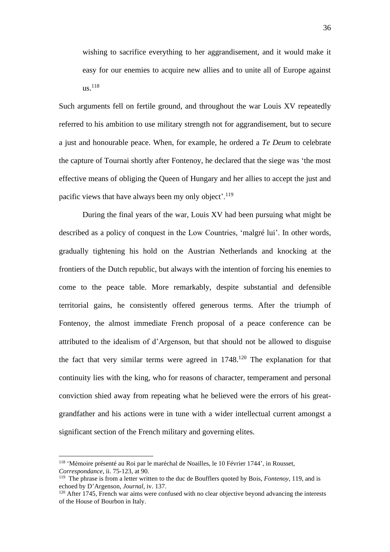wishing to sacrifice everything to her aggrandisement, and it would make it easy for our enemies to acquire new allies and to unite all of Europe against us. 118

Such arguments fell on fertile ground, and throughout the war Louis XV repeatedly referred to his ambition to use military strength not for aggrandisement, but to secure a just and honourable peace. When, for example, he ordered a *Te Deum* to celebrate the capture of Tournai shortly after Fontenoy, he declared that the siege was 'the most effective means of obliging the Queen of Hungary and her allies to accept the just and pacific views that have always been my only object'.<sup>119</sup>

During the final years of the war, Louis XV had been pursuing what might be described as a policy of conquest in the Low Countries, 'malgré lui'. In other words, gradually tightening his hold on the Austrian Netherlands and knocking at the frontiers of the Dutch republic, but always with the intention of forcing his enemies to come to the peace table. More remarkably, despite substantial and defensible territorial gains, he consistently offered generous terms. After the triumph of Fontenoy, the almost immediate French proposal of a peace conference can be attributed to the idealism of d'Argenson, but that should not be allowed to disguise the fact that very similar terms were agreed in  $1748$ <sup>120</sup> The explanation for that continuity lies with the king, who for reasons of character, temperament and personal conviction shied away from repeating what he believed were the errors of his greatgrandfather and his actions were in tune with a wider intellectual current amongst a significant section of the French military and governing elites.

<sup>118</sup> 'Mémoire présenté au Roi par le maréchal de Noailles, le 10 Février 1744', in Rousset, *Correspondance*, ii. 75-123, at 90.

<sup>&</sup>lt;sup>119</sup> The phrase is from a letter written to the duc de Boufflers quoted by Bois, *Fontenoy*, 119, and is echoed by D'Argenson, *Journal*, iv. 137.

<sup>&</sup>lt;sup>120</sup> After 1745, French war aims were confused with no clear objective beyond advancing the interests of the House of Bourbon in Italy.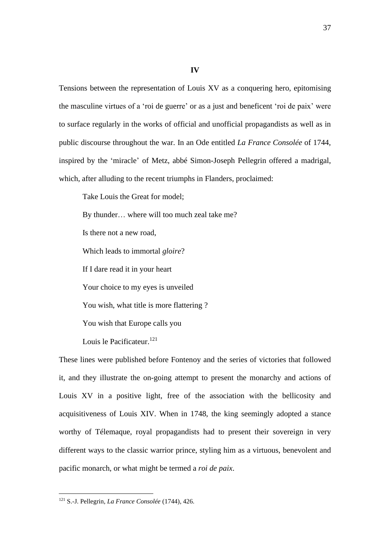Tensions between the representation of Louis XV as a conquering hero, epitomising the masculine virtues of a 'roi de guerre' or as a just and beneficent 'roi de paix' were to surface regularly in the works of official and unofficial propagandists as well as in public discourse throughout the war. In an Ode entitled *La France Consolée* of 1744, inspired by the 'miracle' of Metz, abbé Simon-Joseph Pellegrin offered a madrigal, which, after alluding to the recent triumphs in Flanders, proclaimed:

Take Louis the Great for model; By thunder… where will too much zeal take me? Is there not a new road, Which leads to immortal *gloire*? If I dare read it in your heart Your choice to my eyes is unveiled You wish, what title is more flattering ? You wish that Europe calls you Louis le Pacificateur.<sup>121</sup>

These lines were published before Fontenoy and the series of victories that followed it, and they illustrate the on-going attempt to present the monarchy and actions of Louis XV in a positive light, free of the association with the bellicosity and acquisitiveness of Louis XIV. When in 1748, the king seemingly adopted a stance worthy of Télemaque, royal propagandists had to present their sovereign in very different ways to the classic warrior prince, styling him as a virtuous, benevolent and pacific monarch, or what might be termed a *roi de paix*.

<sup>121</sup> S.-J. Pellegrin, *La France Consolée* (1744), 426.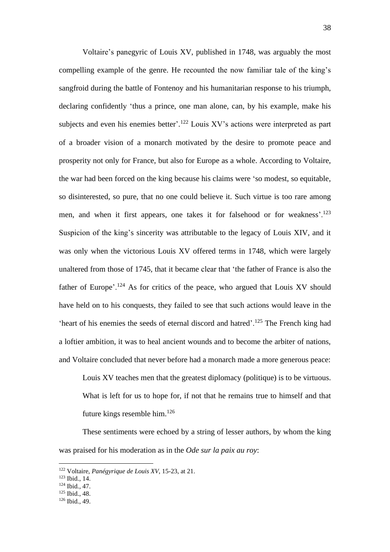Voltaire's panegyric of Louis XV, published in 1748, was arguably the most compelling example of the genre. He recounted the now familiar tale of the king's sangfroid during the battle of Fontenoy and his humanitarian response to his triumph, declaring confidently 'thus a prince, one man alone, can, by his example, make his subjects and even his enemies better'.<sup>122</sup> Louis XV's actions were interpreted as part of a broader vision of a monarch motivated by the desire to promote peace and prosperity not only for France, but also for Europe as a whole. According to Voltaire, the war had been forced on the king because his claims were 'so modest, so equitable, so disinterested, so pure, that no one could believe it. Such virtue is too rare among men, and when it first appears, one takes it for falsehood or for weakness'.<sup>123</sup> Suspicion of the king's sincerity was attributable to the legacy of Louis XIV, and it was only when the victorious Louis XV offered terms in 1748, which were largely unaltered from those of 1745, that it became clear that 'the father of France is also the father of Europe'.<sup>124</sup> As for critics of the peace, who argued that Louis XV should have held on to his conquests, they failed to see that such actions would leave in the 'heart of his enemies the seeds of eternal discord and hatred'.<sup>125</sup> The French king had a loftier ambition, it was to heal ancient wounds and to become the arbiter of nations, and Voltaire concluded that never before had a monarch made a more generous peace:

Louis XV teaches men that the greatest diplomacy (politique) is to be virtuous. What is left for us to hope for, if not that he remains true to himself and that future kings resemble him.<sup>126</sup>

These sentiments were echoed by a string of lesser authors, by whom the king was praised for his moderation as in the *Ode sur la paix au roy*:

<sup>122</sup> Voltaire, *Panégyrique de Louis XV*, 15-23, at 21.

<sup>123</sup> Ibid., 14.

<sup>124</sup> Ibid., 47.

<sup>125</sup> Ibid., 48.

<sup>126</sup> Ibid., 49.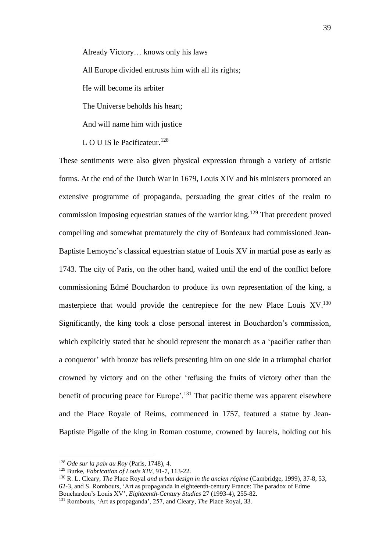Already Victory… knows only his laws All Europe divided entrusts him with all its rights; He will become its arbiter The Universe beholds his heart; And will name him with justice

L O U IS le Pacificateur.<sup>128</sup>

These sentiments were also given physical expression through a variety of artistic forms. At the end of the Dutch War in 1679, Louis XIV and his ministers promoted an extensive programme of propaganda, persuading the great cities of the realm to commission imposing equestrian statues of the warrior king.<sup>129</sup> That precedent proved compelling and somewhat prematurely the city of Bordeaux had commissioned Jean-Baptiste Lemoyne's classical equestrian statue of Louis XV in martial pose as early as 1743. The city of Paris, on the other hand, waited until the end of the conflict before commissioning Edmé Bouchardon to produce its own representation of the king, a masterpiece that would provide the centrepiece for the new Place Louis XV.<sup>130</sup> Significantly, the king took a close personal interest in Bouchardon's commission, which explicitly stated that he should represent the monarch as a 'pacifier rather than a conqueror' with bronze bas reliefs presenting him on one side in a triumphal chariot crowned by victory and on the other 'refusing the fruits of victory other than the benefit of procuring peace for Europe'.<sup>131</sup> That pacific theme was apparent elsewhere and the Place Royale of Reims, commenced in 1757, featured a statue by Jean-Baptiste Pigalle of the king in Roman costume, crowned by laurels, holding out his

<sup>128</sup> *Ode sur la paix au Roy* (Paris, 1748), 4.

<sup>129</sup> Burke, *Fabrication of Louis XIV*, 91-7, 113-22.

<sup>130</sup> R. L. Cleary, *The* Place Royal *and urban design in the ancien régime* (Cambridge, 1999), 37-8, 53, 62-3, and S. Rombouts, 'Art as propaganda in eighteenth-century France: The paradox of Edme Bouchardon's Louis XV', *Eighteenth-Century Studies* 27 (1993-4), 255-82.

<sup>131</sup> Rombouts, 'Art as propaganda', 257, and Cleary, *The* Place Royal, 33.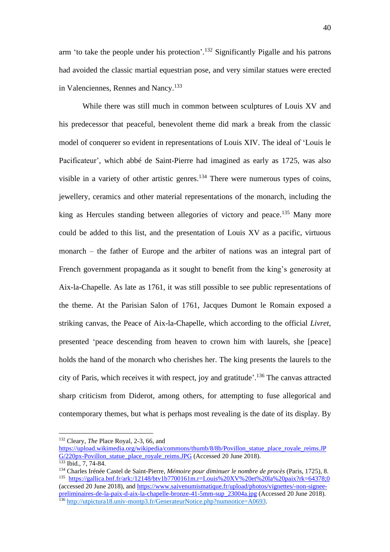arm 'to take the people under his protection'.<sup>132</sup> Significantly Pigalle and his patrons had avoided the classic martial equestrian pose, and very similar statues were erected in Valenciennes, Rennes and Nancy.<sup>133</sup>

While there was still much in common between sculptures of Louis XV and his predecessor that peaceful, benevolent theme did mark a break from the classic model of conquerer so evident in representations of Louis XIV. The ideal of 'Louis le Pacificateur', which abbé de Saint-Pierre had imagined as early as 1725, was also visible in a variety of other artistic genres.<sup>134</sup> There were numerous types of coins, jewellery, ceramics and other material representations of the monarch, including the king as Hercules standing between allegories of victory and peace.<sup>135</sup> Many more could be added to this list, and the presentation of Louis XV as a pacific, virtuous monarch – the father of Europe and the arbiter of nations was an integral part of French government propaganda as it sought to benefit from the king's generosity at Aix-la-Chapelle. As late as 1761, it was still possible to see public representations of the theme. At the Parisian Salon of 1761, Jacques Dumont le Romain exposed a striking canvas, the Peace of Aix-la-Chapelle, which according to the official *Livret*, presented 'peace descending from heaven to crown him with laurels, she [peace] holds the hand of the monarch who cherishes her. The king presents the laurels to the city of Paris, which receives it with respect, joy and gratitude'. <sup>136</sup> The canvas attracted sharp criticism from Diderot, among others, for attempting to fuse allegorical and contemporary themes, but what is perhaps most revealing is the date of its display. By

<sup>132</sup> Cleary, *The* Place Royal, 2-3, 66, and

[https://upload.wikimedia.org/wikipedia/commons/thumb/8/8b/Povillon\\_statue\\_place\\_royale\\_reims.JP](https://upload.wikimedia.org/wikipedia/commons/thumb/8/8b/Povillon_statue_place_royale_reims.JPG/220px-Povillon_statue_place_royale_reims.JPG)  $G/220px$ -Povillon statue place royale reims.JPG (Accessed 20 June 2018).

<sup>&</sup>lt;sup>133</sup> Ibid., 7, 74-84.

<sup>134</sup> Charles Irénée Castel de Saint-Pierre, *Mémoire pour diminuer le nombre de procès* (Paris, 1725), 8. 135 <https://gallica.bnf.fr/ark:/12148/btv1b7700161m.r=Louis%20XV%20et%20la%20paix?rk=64378;0> (accessed 20 June 2018), and [https://www.saivenumismatique.fr/upload/photos/vignettes/-non-signee](https://www.saivenumismatique.fr/upload/photos/vignettes/-non-signee-preliminaires-de-la-paix-d-aix-la-chapelle-bronze-41-5mm-sup_23004a.jpg)[preliminaires-de-la-paix-d-aix-la-chapelle-bronze-41-5mm-sup\\_23004a.jpg](https://www.saivenumismatique.fr/upload/photos/vignettes/-non-signee-preliminaires-de-la-paix-d-aix-la-chapelle-bronze-41-5mm-sup_23004a.jpg) (Accessed 20 June 2018). <sup>136</sup> [http://utpictura18.univ-montp3.fr/GenerateurNotice.php?numnotice=A0693.](https://owa.bbk.ac.uk/owa/redir.aspx?C=0upHprg3VH8A2Fnxu62urs9aWMBniTLA7IpTUIS97xspN9eTxnrVCA..&URL=http%3a%2f%2futpictura18.univ-montp3.fr%2fGenerateurNotice.php%3fnumnotice%3dA0693)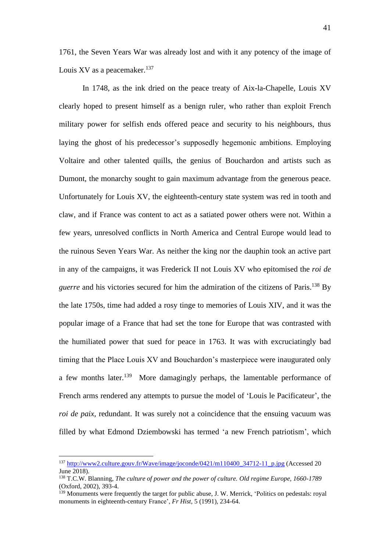1761, the Seven Years War was already lost and with it any potency of the image of Louis XV as a peacemaker.<sup>137</sup>

In 1748, as the ink dried on the peace treaty of Aix-la-Chapelle, Louis XV clearly hoped to present himself as a benign ruler, who rather than exploit French military power for selfish ends offered peace and security to his neighbours, thus laying the ghost of his predecessor's supposedly hegemonic ambitions. Employing Voltaire and other talented quills, the genius of Bouchardon and artists such as Dumont, the monarchy sought to gain maximum advantage from the generous peace. Unfortunately for Louis XV, the eighteenth-century state system was red in tooth and claw, and if France was content to act as a satiated power others were not. Within a few years, unresolved conflicts in North America and Central Europe would lead to the ruinous Seven Years War. As neither the king nor the dauphin took an active part in any of the campaigns, it was Frederick II not Louis XV who epitomised the *roi de*  guerre and his victories secured for him the admiration of the citizens of Paris.<sup>138</sup> By the late 1750s, time had added a rosy tinge to memories of Louis XIV, and it was the popular image of a France that had set the tone for Europe that was contrasted with the humiliated power that sued for peace in 1763. It was with excruciatingly bad timing that the Place Louis XV and Bouchardon's masterpiece were inaugurated only a few months later.<sup>139</sup> More damagingly perhaps, the lamentable performance of French arms rendered any attempts to pursue the model of 'Louis le Pacificateur', the *roi de paix*, redundant. It was surely not a coincidence that the ensuing vacuum was filled by what Edmond Dziembowski has termed 'a new French patriotism', which

<sup>137</sup> [http://www2.culture.gouv.fr/Wave/image/joconde/0421/m110400\\_34712-11\\_p.jpg](http://www2.culture.gouv.fr/Wave/image/joconde/0421/m110400_34712-11_p.jpg) (Accessed 20 June 2018).

<sup>138</sup> T.C.W. Blanning, *The culture of power and the power of culture. Old regime Europe, 1660-1789* (Oxford, 2002), 393-4.

<sup>&</sup>lt;sup>139</sup> Monuments were frequently the target for public abuse, J. W. Merrick, 'Politics on pedestals: royal monuments in eighteenth-century France', *Fr Hist,* 5 (1991), 234-64.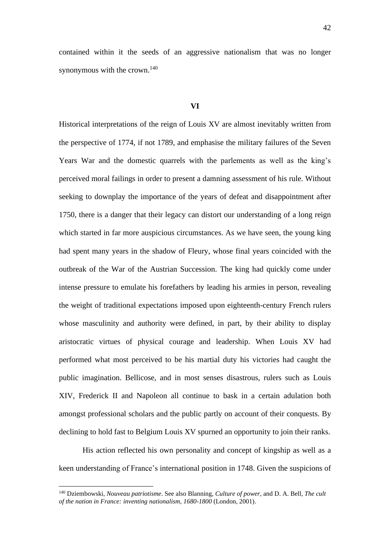contained within it the seeds of an aggressive nationalism that was no longer synonymous with the crown. $140$ 

### **VI**

Historical interpretations of the reign of Louis XV are almost inevitably written from the perspective of 1774, if not 1789, and emphasise the military failures of the Seven Years War and the domestic quarrels with the parlements as well as the king's perceived moral failings in order to present a damning assessment of his rule. Without seeking to downplay the importance of the years of defeat and disappointment after 1750, there is a danger that their legacy can distort our understanding of a long reign which started in far more auspicious circumstances. As we have seen, the young king had spent many years in the shadow of Fleury, whose final years coincided with the outbreak of the War of the Austrian Succession. The king had quickly come under intense pressure to emulate his forefathers by leading his armies in person, revealing the weight of traditional expectations imposed upon eighteenth-century French rulers whose masculinity and authority were defined, in part, by their ability to display aristocratic virtues of physical courage and leadership. When Louis XV had performed what most perceived to be his martial duty his victories had caught the public imagination. Bellicose, and in most senses disastrous, rulers such as Louis XIV, Frederick II and Napoleon all continue to bask in a certain adulation both amongst professional scholars and the public partly on account of their conquests. By declining to hold fast to Belgium Louis XV spurned an opportunity to join their ranks.

His action reflected his own personality and concept of kingship as well as a keen understanding of France's international position in 1748. Given the suspicions of

<sup>140</sup> Dziembowski, *Nouveau patriotisme*. See also Blanning, *Culture of power*, and D. A. Bell, *The cult of the nation in France: inventing nationalism, 1680-1800* (London, 2001).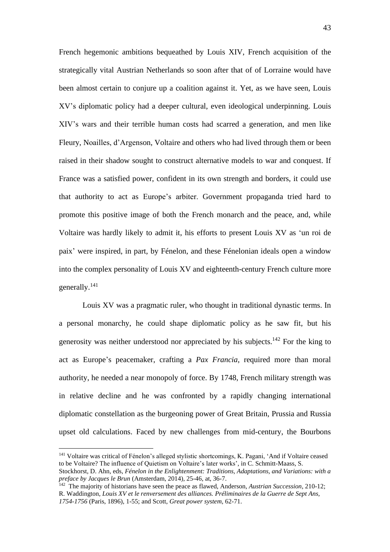French hegemonic ambitions bequeathed by Louis XIV, French acquisition of the strategically vital Austrian Netherlands so soon after that of of Lorraine would have been almost certain to conjure up a coalition against it. Yet, as we have seen, Louis XV's diplomatic policy had a deeper cultural, even ideological underpinning. Louis XIV's wars and their terrible human costs had scarred a generation, and men like Fleury, Noailles, d'Argenson, Voltaire and others who had lived through them or been raised in their shadow sought to construct alternative models to war and conquest. If France was a satisfied power, confident in its own strength and borders, it could use that authority to act as Europe's arbiter. Government propaganda tried hard to promote this positive image of both the French monarch and the peace, and, while Voltaire was hardly likely to admit it, his efforts to present Louis XV as 'un roi de paix' were inspired, in part, by Fénelon, and these Fénelonian ideals open a window into the complex personality of Louis XV and eighteenth-century French culture more generally. 141

Louis XV was a pragmatic ruler, who thought in traditional dynastic terms. In a personal monarchy, he could shape diplomatic policy as he saw fit, but his generosity was neither understood nor appreciated by his subjects.<sup>142</sup> For the king to act as Europe's peacemaker, crafting a *Pax Francia*, required more than moral authority, he needed a near monopoly of force. By 1748, French military strength was in relative decline and he was confronted by a rapidly changing international diplomatic constellation as the burgeoning power of Great Britain, Prussia and Russia upset old calculations. Faced by new challenges from mid-century, the Bourbons

<sup>141</sup> Voltaire was critical of Fénelon's alleged stylistic shortcomings, K. Pagani, 'And if Voltaire ceased to be Voltaire? The influence of Quietism on Voltaire's later works', in C. [Schmitt-Maass,](https://www.amazon.co.uk/s/ref=dp_byline_sr_book_1?ie=UTF8&text=Christoph+Schmitt-Maass&search-alias=books-uk&field-author=Christoph+Schmitt-Maass&sort=relevancerank) [S.](https://www.amazon.co.uk/s/ref=dp_byline_sr_book_2?ie=UTF8&text=Stefanie+Stockhorst&search-alias=books-uk&field-author=Stefanie+Stockhorst&sort=relevancerank) [Stockhorst,](https://www.amazon.co.uk/s/ref=dp_byline_sr_book_2?ie=UTF8&text=Stefanie+Stockhorst&search-alias=books-uk&field-author=Stefanie+Stockhorst&sort=relevancerank) D. [Ahn,](https://www.amazon.co.uk/s/ref=dp_byline_sr_book_3?ie=UTF8&text=Doohwan+Ahn&search-alias=books-uk&field-author=Doohwan+Ahn&sort=relevancerank) eds, *Fénelon in the Enlightenment: Traditions, Adaptations, and Variations: with a preface by Jacques le Brun* (Amsterdam, 2014), 25-46, at, 36-7.

<sup>142</sup> The majority of historians have seen the peace as flawed, Anderson, *Austrian Succession*, 210-12; R. Waddington, *Louis XV et le renversement des alliances. Préliminaires de la Guerre de Sept Ans, 1754-1756* (Paris, 1896), 1-55; and Scott, *Great power system*, 62-71.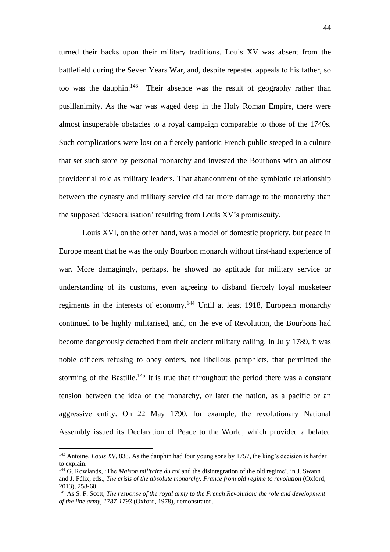turned their backs upon their military traditions. Louis XV was absent from the battlefield during the Seven Years War, and, despite repeated appeals to his father, so too was the dauphin.<sup>143</sup> Their absence was the result of geography rather than pusillanimity. As the war was waged deep in the Holy Roman Empire, there were almost insuperable obstacles to a royal campaign comparable to those of the 1740s. Such complications were lost on a fiercely patriotic French public steeped in a culture that set such store by personal monarchy and invested the Bourbons with an almost providential role as military leaders. That abandonment of the symbiotic relationship between the dynasty and military service did far more damage to the monarchy than the supposed 'desacralisation' resulting from Louis XV's promiscuity.

Louis XVI, on the other hand, was a model of domestic propriety, but peace in Europe meant that he was the only Bourbon monarch without first-hand experience of war. More damagingly, perhaps, he showed no aptitude for military service or understanding of its customs, even agreeing to disband fiercely loyal musketeer regiments in the interests of economy.<sup>144</sup> Until at least 1918, European monarchy continued to be highly militarised, and, on the eve of Revolution, the Bourbons had become dangerously detached from their ancient military calling. In July 1789, it was noble officers refusing to obey orders, not libellous pamphlets, that permitted the storming of the Bastille.<sup>145</sup> It is true that throughout the period there was a constant tension between the idea of the monarchy, or later the nation, as a pacific or an aggressive entity. On 22 May 1790, for example, the revolutionary National Assembly issued its Declaration of Peace to the World, which provided a belated

<sup>143</sup> Antoine, *Louis XV*, 838. As the dauphin had four young sons by 1757, the king's decision is harder to explain.

<sup>144</sup> G. Rowlands, 'The *Maison militaire du roi* and the disintegration of the old regime', in J. Swann and J. Félix, eds., *The crisis of the absolute monarchy. France from old regime to revolution* (Oxford, 2013), 258-60.

<sup>145</sup> As S. F. Scott, *The response of the royal army to the French Revolution: the role and development of the line army, 1787-1793* (Oxford, 1978), demonstrated.